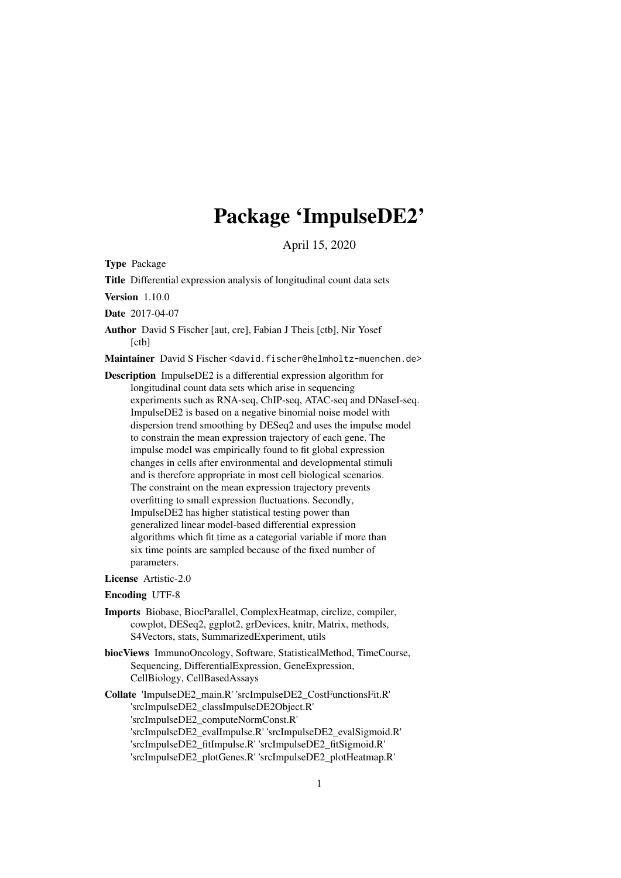# Package 'ImpulseDE2'

April 15, 2020

<span id="page-0-0"></span>Type Package

Title Differential expression analysis of longitudinal count data sets

Version 1.10.0

Date 2017-04-07

Author David S Fischer [aut, cre], Fabian J Theis [ctb], Nir Yosef [ctb]

Maintainer David S Fischer <david.fischer@helmholtz-muenchen.de>

Description ImpulseDE2 is a differential expression algorithm for longitudinal count data sets which arise in sequencing experiments such as RNA-seq, ChIP-seq, ATAC-seq and DNaseI-seq. ImpulseDE2 is based on a negative binomial noise model with dispersion trend smoothing by DESeq2 and uses the impulse model to constrain the mean expression trajectory of each gene. The impulse model was empirically found to fit global expression changes in cells after environmental and developmental stimuli and is therefore appropriate in most cell biological scenarios. The constraint on the mean expression trajectory prevents overfitting to small expression fluctuations. Secondly, ImpulseDE2 has higher statistical testing power than generalized linear model-based differential expression algorithms which fit time as a categorial variable if more than six time points are sampled because of the fixed number of parameters.

#### License Artistic-2.0

Encoding UTF-8

- Imports Biobase, BiocParallel, ComplexHeatmap, circlize, compiler, cowplot, DESeq2, ggplot2, grDevices, knitr, Matrix, methods, S4Vectors, stats, SummarizedExperiment, utils
- biocViews ImmunoOncology, Software, StatisticalMethod, TimeCourse, Sequencing, DifferentialExpression, GeneExpression, CellBiology, CellBasedAssays
- Collate 'ImpulseDE2\_main.R' 'srcImpulseDE2\_CostFunctionsFit.R' 'srcImpulseDE2\_classImpulseDE2Object.R' 'srcImpulseDE2\_computeNormConst.R' 'srcImpulseDE2\_evalImpulse.R' 'srcImpulseDE2\_evalSigmoid.R' 'srcImpulseDE2\_fitImpulse.R' 'srcImpulseDE2\_fitSigmoid.R' 'srcImpulseDE2\_plotGenes.R' 'srcImpulseDE2\_plotHeatmap.R'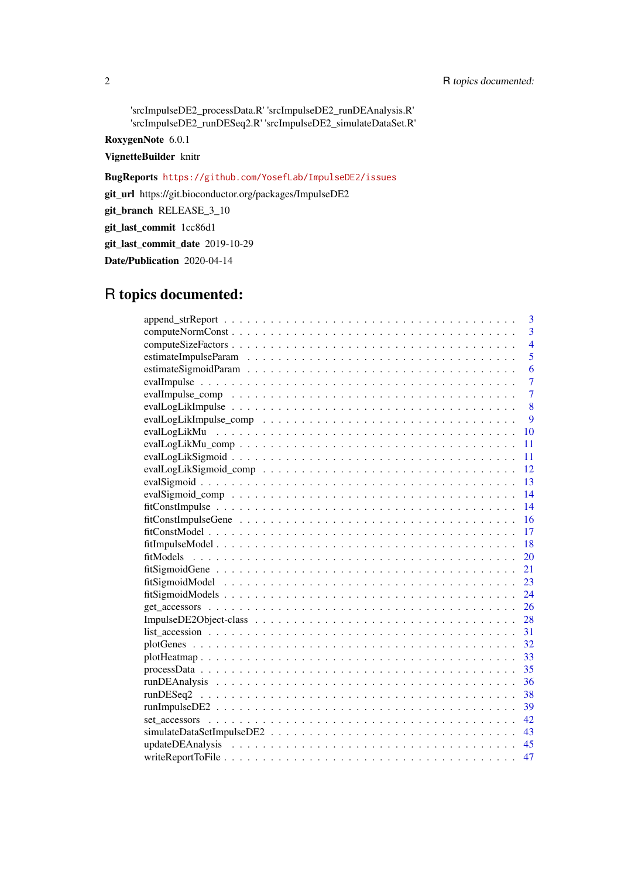### 2 R topics documented:

'srcImpulseDE2\_processData.R' 'srcImpulseDE2\_runDEAnalysis.R' 'srcImpulseDE2\_runDESeq2.R' 'srcImpulseDE2\_simulateDataSet.R'

RoxygenNote 6.0.1

VignetteBuilder knitr

BugReports <https://github.com/YosefLab/ImpulseDE2/issues>

git\_url https://git.bioconductor.org/packages/ImpulseDE2

git\_branch RELEASE\_3\_10

git\_last\_commit 1cc86d1

git\_last\_commit\_date 2019-10-29

Date/Publication 2020-04-14

## R topics documented:

| 3              |
|----------------|
| $\overline{3}$ |
| $\overline{4}$ |
| $\overline{5}$ |
| 6              |
| $\overline{7}$ |
| $\overline{7}$ |
| 8              |
| $\mathbf Q$    |
| 10             |
| 11             |
| 11             |
| 12             |
| 13             |
| 14             |
| 14             |
| 16             |
| 17             |
| 18             |
| 20             |
| 21             |
| 23             |
| 24             |
| 26             |
| 28             |
| 31             |
| 32             |
| 33             |
| 35             |
| 36             |
| 38             |
| 39             |
| 42.            |
| 43             |
|                |
| 47             |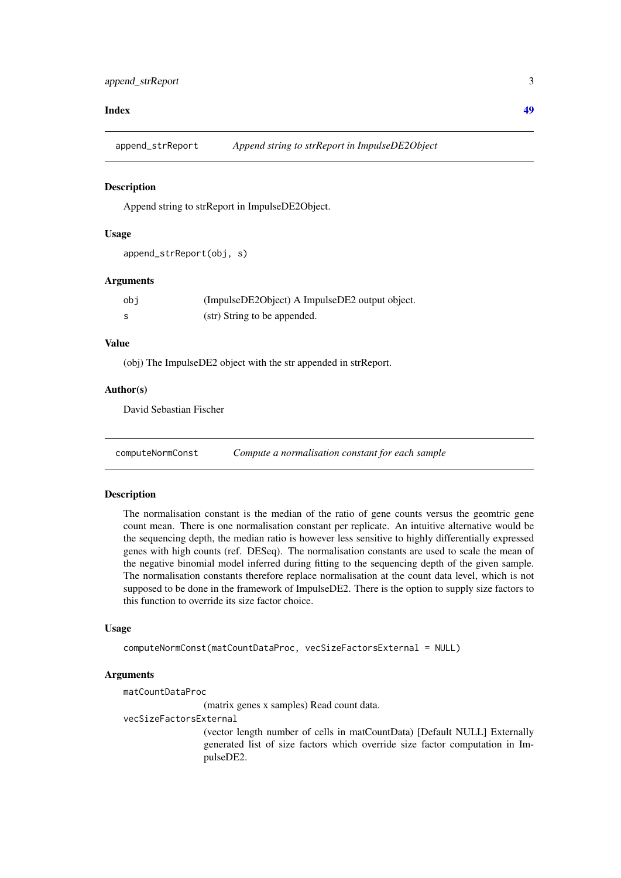#### <span id="page-2-0"></span>**Index a** set of the set of the set of the set of the set of the set of the set of the set of the set of the set of the set of the set of the set of the set of the set of the set of the set of the set of the set of the s

append\_strReport *Append string to strReport in ImpulseDE2Object*

### Description

Append string to strReport in ImpulseDE2Object.

### Usage

```
append_strReport(obj, s)
```
#### Arguments

| obi | (ImpulseDE2Object) A ImpulseDE2 output object. |
|-----|------------------------------------------------|
| -S  | (str) String to be appended.                   |

### Value

(obj) The ImpulseDE2 object with the str appended in strReport.

#### Author(s)

David Sebastian Fischer

<span id="page-2-1"></span>computeNormConst *Compute a normalisation constant for each sample*

#### **Description**

The normalisation constant is the median of the ratio of gene counts versus the geomtric gene count mean. There is one normalisation constant per replicate. An intuitive alternative would be the sequencing depth, the median ratio is however less sensitive to highly differentially expressed genes with high counts (ref. DESeq). The normalisation constants are used to scale the mean of the negative binomial model inferred during fitting to the sequencing depth of the given sample. The normalisation constants therefore replace normalisation at the count data level, which is not supposed to be done in the framework of ImpulseDE2. There is the option to supply size factors to this function to override its size factor choice.

#### Usage

```
computeNormConst(matCountDataProc, vecSizeFactorsExternal = NULL)
```
#### Arguments

matCountDataProc

(matrix genes x samples) Read count data.

```
vecSizeFactorsExternal
```
(vector length number of cells in matCountData) [Default NULL] Externally generated list of size factors which override size factor computation in ImpulseDE2.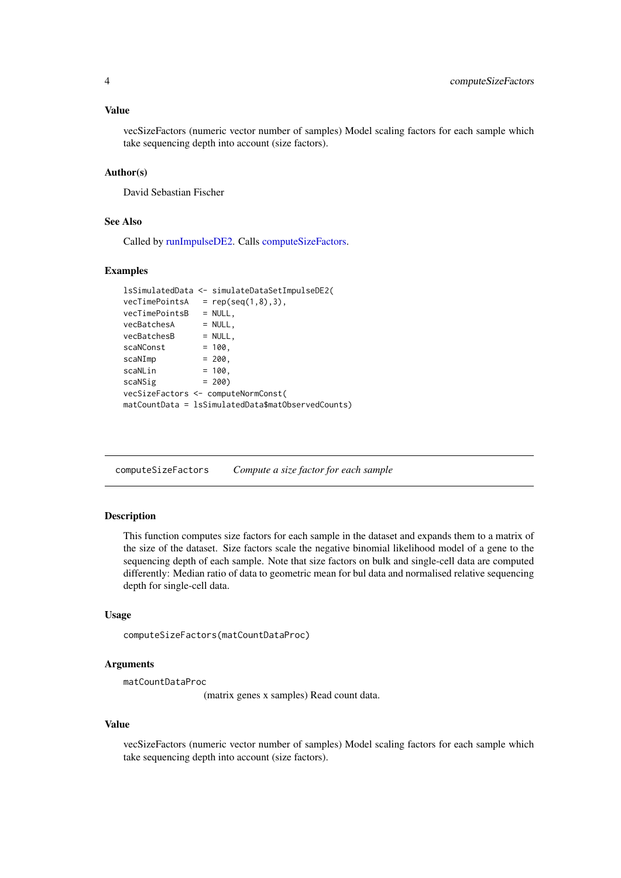#### <span id="page-3-0"></span>Value

vecSizeFactors (numeric vector number of samples) Model scaling factors for each sample which take sequencing depth into account (size factors).

#### Author(s)

David Sebastian Fischer

### See Also

Called by [runImpulseDE2.](#page-38-1) Calls [computeSizeFactors.](#page-3-1)

#### Examples

```
lsSimulatedData <- simulateDataSetImpulseDE2(
vecTimePointsA = rep(seq(1,8),3),vecTimePointsB = NULL,
vecBatchesA = NULL,
vecBatchesB = NULL,
scalarConst = 100,scaNImp = 200,
scallin = 100,
scaNSig = 200vecSizeFactors <- computeNormConst(
matCountData = lsSimulatedData$matObservedCounts)
```
<span id="page-3-1"></span>computeSizeFactors *Compute a size factor for each sample*

#### Description

This function computes size factors for each sample in the dataset and expands them to a matrix of the size of the dataset. Size factors scale the negative binomial likelihood model of a gene to the sequencing depth of each sample. Note that size factors on bulk and single-cell data are computed differently: Median ratio of data to geometric mean for bul data and normalised relative sequencing depth for single-cell data.

### Usage

```
computeSizeFactors(matCountDataProc)
```
#### Arguments

matCountDataProc

(matrix genes x samples) Read count data.

### Value

vecSizeFactors (numeric vector number of samples) Model scaling factors for each sample which take sequencing depth into account (size factors).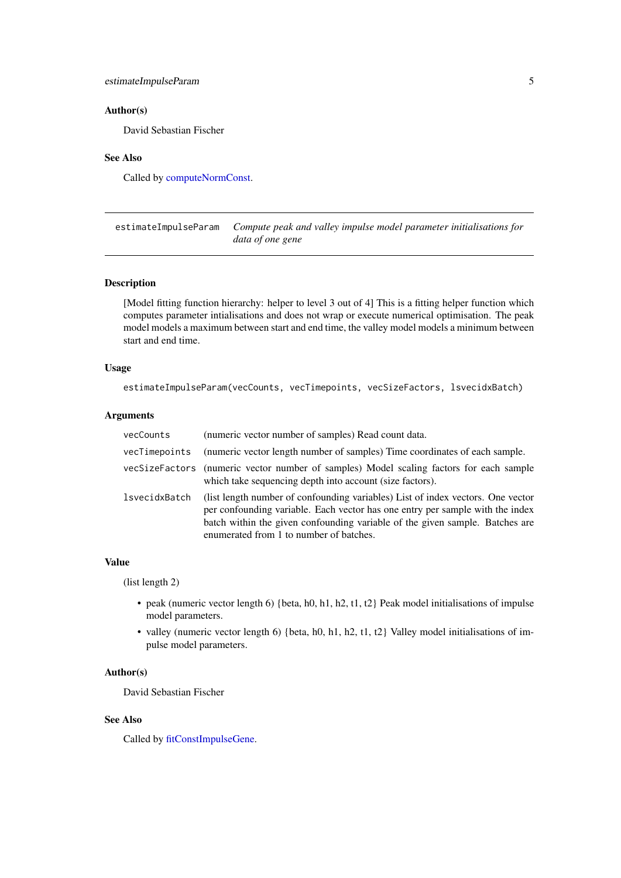#### <span id="page-4-0"></span>estimateImpulseParam 5

#### Author(s)

David Sebastian Fischer

### See Also

Called by [computeNormConst.](#page-2-1)

<span id="page-4-1"></span>estimateImpulseParam *Compute peak and valley impulse model parameter initialisations for data of one gene*

#### Description

[Model fitting function hierarchy: helper to level 3 out of 4] This is a fitting helper function which computes parameter intialisations and does not wrap or execute numerical optimisation. The peak model models a maximum between start and end time, the valley model models a minimum between start and end time.

#### Usage

```
estimateImpulseParam(vecCounts, vecTimepoints, vecSizeFactors, lsvecidxBatch)
```
#### Arguments

| vecCounts     | (numeric vector number of samples) Read count data.                                                                                                                                                                                                                                         |
|---------------|---------------------------------------------------------------------------------------------------------------------------------------------------------------------------------------------------------------------------------------------------------------------------------------------|
| vecTimepoints | (numeric vector length number of samples) Time coordinates of each sample.                                                                                                                                                                                                                  |
|               | vecSizeFactors (numeric vector number of samples) Model scaling factors for each sample<br>which take sequencing depth into account (size factors).                                                                                                                                         |
| lsvecidxBatch | (list length number of confounding variables) List of index vectors. One vector<br>per confounding variable. Each vector has one entry per sample with the index<br>batch within the given confounding variable of the given sample. Batches are<br>enumerated from 1 to number of batches. |

#### Value

(list length 2)

- peak (numeric vector length 6) {beta, h0, h1, h2, t1, t2} Peak model initialisations of impulse model parameters.
- valley (numeric vector length 6) {beta, h0, h1, h2, t1, t2} Valley model initialisations of impulse model parameters.

#### Author(s)

David Sebastian Fischer

#### See Also

Called by [fitConstImpulseGene.](#page-15-1)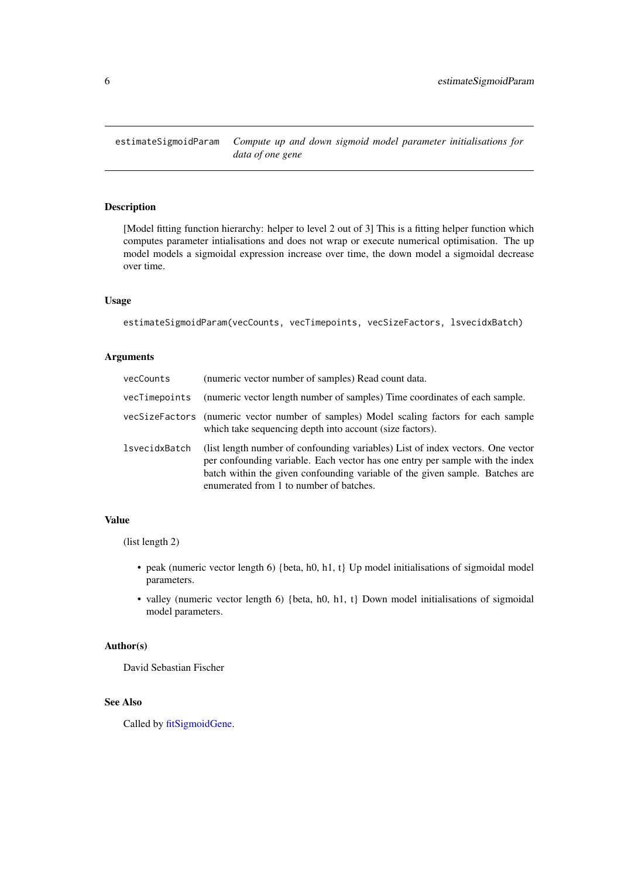<span id="page-5-1"></span><span id="page-5-0"></span>

### Description

[Model fitting function hierarchy: helper to level 2 out of 3] This is a fitting helper function which computes parameter intialisations and does not wrap or execute numerical optimisation. The up model models a sigmoidal expression increase over time, the down model a sigmoidal decrease over time.

#### Usage

estimateSigmoidParam(vecCounts, vecTimepoints, vecSizeFactors, lsvecidxBatch)

#### Arguments

| vecCounts     | (numeric vector number of samples) Read count data.                                                                                                                                                                                                                                         |
|---------------|---------------------------------------------------------------------------------------------------------------------------------------------------------------------------------------------------------------------------------------------------------------------------------------------|
| vecTimepoints | (numeric vector length number of samples) Time coordinates of each sample.                                                                                                                                                                                                                  |
|               | vecSizeFactors (numeric vector number of samples) Model scaling factors for each sample<br>which take sequencing depth into account (size factors).                                                                                                                                         |
| lsvecidxBatch | (list length number of confounding variables) List of index vectors. One vector<br>per confounding variable. Each vector has one entry per sample with the index<br>batch within the given confounding variable of the given sample. Batches are<br>enumerated from 1 to number of batches. |

### Value

(list length 2)

- peak (numeric vector length 6) {beta, h0, h1, t} Up model initialisations of sigmoidal model parameters.
- valley (numeric vector length 6) {beta, h0, h1, t} Down model initialisations of sigmoidal model parameters.

#### Author(s)

David Sebastian Fischer

### See Also

Called by [fitSigmoidGene.](#page-20-1)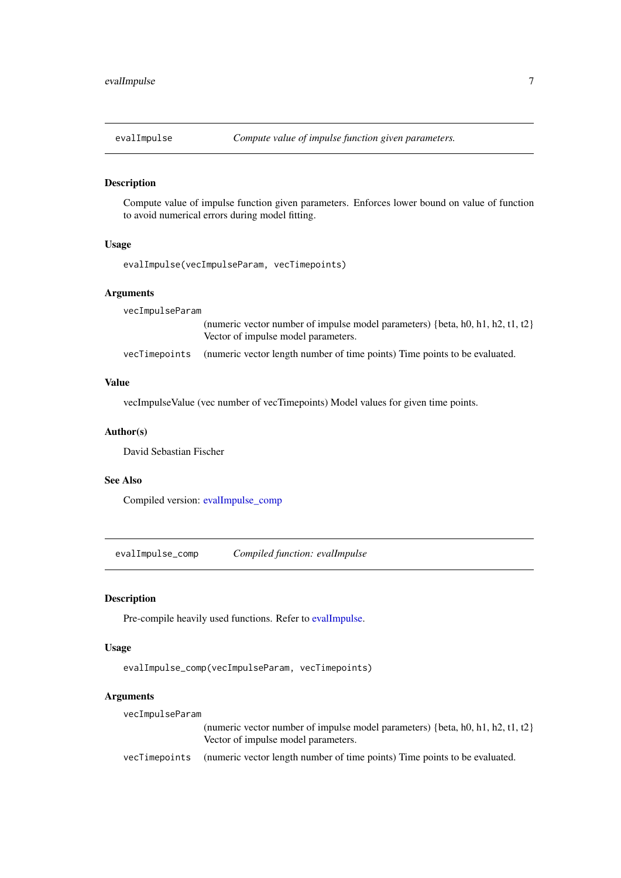<span id="page-6-2"></span><span id="page-6-0"></span>

### Description

Compute value of impulse function given parameters. Enforces lower bound on value of function to avoid numerical errors during model fitting.

### Usage

```
evalImpulse(vecImpulseParam, vecTimepoints)
```
### Arguments

vecImpulseParam

(numeric vector number of impulse model parameters) {beta, h0, h1, h2, t1, t2} Vector of impulse model parameters.

vecTimepoints (numeric vector length number of time points) Time points to be evaluated.

### Value

vecImpulseValue (vec number of vecTimepoints) Model values for given time points.

#### Author(s)

David Sebastian Fischer

#### See Also

Compiled version: [evalImpulse\\_comp](#page-6-1)

<span id="page-6-1"></span>evalImpulse\_comp *Compiled function: evalImpulse*

### Description

Pre-compile heavily used functions. Refer to [evalImpulse.](#page-6-2)

### Usage

```
evalImpulse_comp(vecImpulseParam, vecTimepoints)
```
### Arguments

| vecImpulseParam |                                                                                                                                      |
|-----------------|--------------------------------------------------------------------------------------------------------------------------------------|
|                 | (numeric vector number of impulse model parameters) {beta, $h0$ , $h1$ , $h2$ , $t1$ , $t2$ }<br>Vector of impulse model parameters. |
| vecTimepoints   | (numeric vector length number of time points) Time points to be evaluated.                                                           |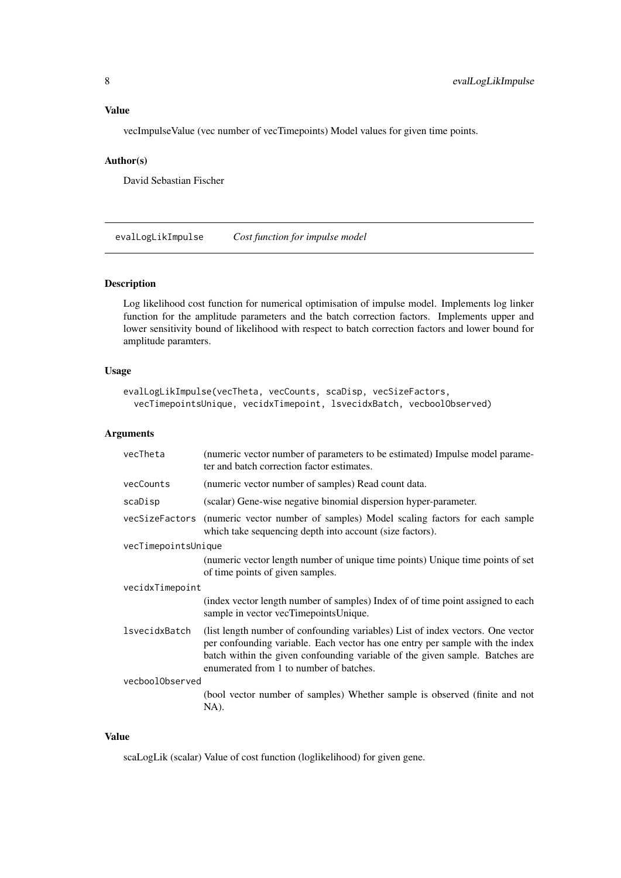### <span id="page-7-0"></span>Value

vecImpulseValue (vec number of vecTimepoints) Model values for given time points.

#### Author(s)

David Sebastian Fischer

<span id="page-7-1"></span>evalLogLikImpulse *Cost function for impulse model*

### Description

Log likelihood cost function for numerical optimisation of impulse model. Implements log linker function for the amplitude parameters and the batch correction factors. Implements upper and lower sensitivity bound of likelihood with respect to batch correction factors and lower bound for amplitude paramters.

### Usage

```
evalLogLikImpulse(vecTheta, vecCounts, scaDisp, vecSizeFactors,
 vecTimepointsUnique, vecidxTimepoint, lsvecidxBatch, vecboolObserved)
```
#### Arguments

| vecTheta            | (numeric vector number of parameters to be estimated) Impulse model parame-<br>ter and batch correction factor estimates.                                                                                                                                                                   |  |
|---------------------|---------------------------------------------------------------------------------------------------------------------------------------------------------------------------------------------------------------------------------------------------------------------------------------------|--|
| vecCounts           | (numeric vector number of samples) Read count data.                                                                                                                                                                                                                                         |  |
| scaDisp             | (scalar) Gene-wise negative binomial dispersion hyper-parameter.                                                                                                                                                                                                                            |  |
|                     | vecSizeFactors (numeric vector number of samples) Model scaling factors for each sample<br>which take sequencing depth into account (size factors).                                                                                                                                         |  |
| vecTimepointsUnique |                                                                                                                                                                                                                                                                                             |  |
|                     | (numeric vector length number of unique time points) Unique time points of set<br>of time points of given samples.                                                                                                                                                                          |  |
| vecidxTimepoint     |                                                                                                                                                                                                                                                                                             |  |
|                     | (index vector length number of samples) Index of of time point assigned to each<br>sample in vector vecTimepointsUnique.                                                                                                                                                                    |  |
| lsvecidxBatch       | (list length number of confounding variables) List of index vectors. One vector<br>per confounding variable. Each vector has one entry per sample with the index<br>batch within the given confounding variable of the given sample. Batches are<br>enumerated from 1 to number of batches. |  |
| vecboolObserved     |                                                                                                                                                                                                                                                                                             |  |
|                     | (bool vector number of samples) Whether sample is observed (finite and not<br>NA).                                                                                                                                                                                                          |  |
|                     |                                                                                                                                                                                                                                                                                             |  |

### Value

scaLogLik (scalar) Value of cost function (loglikelihood) for given gene.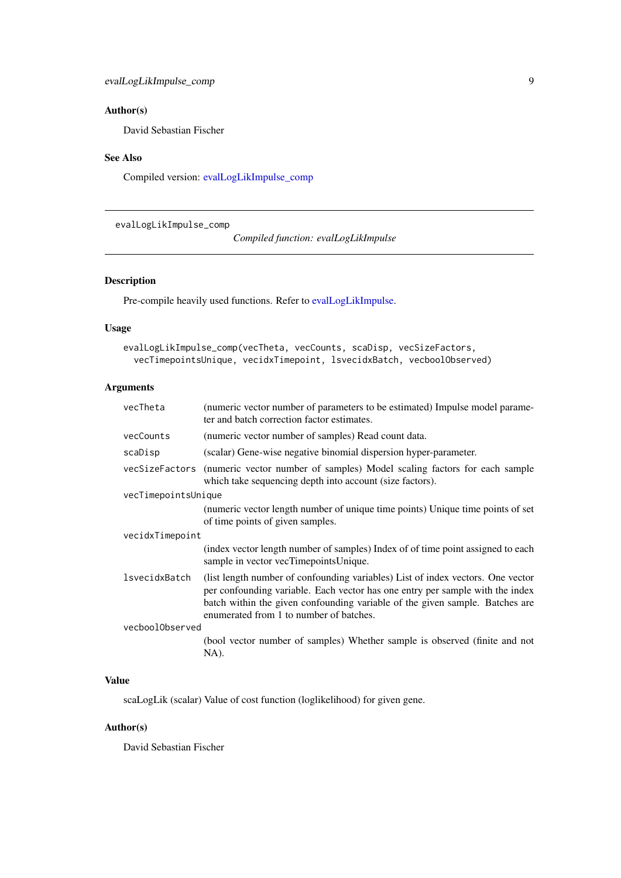### <span id="page-8-0"></span>Author(s)

David Sebastian Fischer

### See Also

Compiled version: [evalLogLikImpulse\\_comp](#page-8-1)

<span id="page-8-1"></span>evalLogLikImpulse\_comp

*Compiled function: evalLogLikImpulse*

### Description

Pre-compile heavily used functions. Refer to [evalLogLikImpulse.](#page-7-1)

### Usage

```
evalLogLikImpulse_comp(vecTheta, vecCounts, scaDisp, vecSizeFactors,
 vecTimepointsUnique, vecidxTimepoint, lsvecidxBatch, vecboolObserved)
```
### Arguments

| vecTheta            | (numeric vector number of parameters to be estimated) Impulse model parame-<br>ter and batch correction factor estimates.                                                                                                                                                                   |  |
|---------------------|---------------------------------------------------------------------------------------------------------------------------------------------------------------------------------------------------------------------------------------------------------------------------------------------|--|
| vecCounts           | (numeric vector number of samples) Read count data.                                                                                                                                                                                                                                         |  |
| scaDisp             | (scalar) Gene-wise negative binomial dispersion hyper-parameter.                                                                                                                                                                                                                            |  |
|                     | vecSizeFactors (numeric vector number of samples) Model scaling factors for each sample<br>which take sequencing depth into account (size factors).                                                                                                                                         |  |
| vecTimepointsUnique |                                                                                                                                                                                                                                                                                             |  |
|                     | (numeric vector length number of unique time points) Unique time points of set<br>of time points of given samples.                                                                                                                                                                          |  |
| vecidxTimepoint     |                                                                                                                                                                                                                                                                                             |  |
|                     | (index vector length number of samples) Index of of time point assigned to each<br>sample in vector vecTimepointsUnique.                                                                                                                                                                    |  |
| lsvecidxBatch       | (list length number of confounding variables) List of index vectors. One vector<br>per confounding variable. Each vector has one entry per sample with the index<br>batch within the given confounding variable of the given sample. Batches are<br>enumerated from 1 to number of batches. |  |
| vecboolObserved     |                                                                                                                                                                                                                                                                                             |  |
|                     | (bool vector number of samples) Whether sample is observed (finite and not<br>NA).                                                                                                                                                                                                          |  |

### Value

scaLogLik (scalar) Value of cost function (loglikelihood) for given gene.

#### Author(s)

David Sebastian Fischer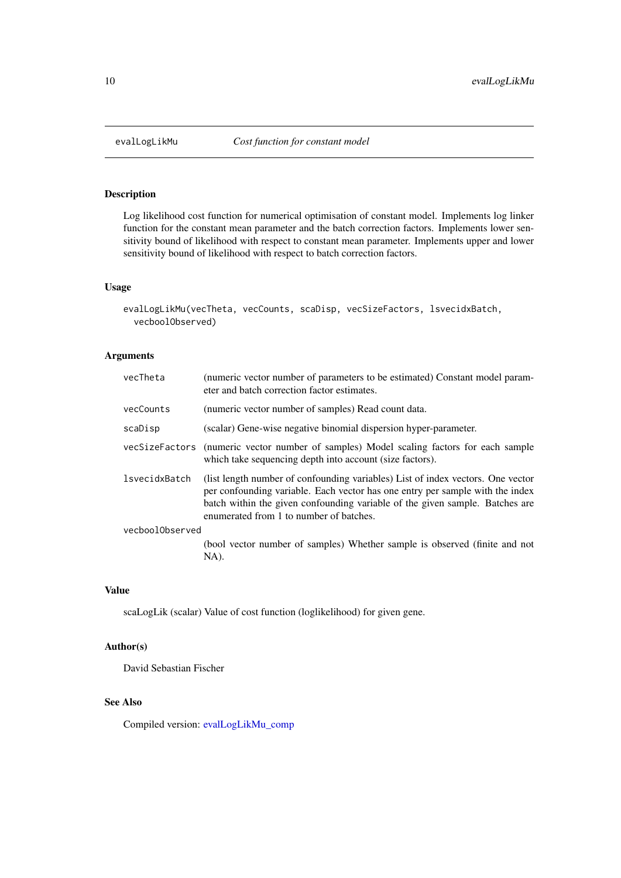### Description

Log likelihood cost function for numerical optimisation of constant model. Implements log linker function for the constant mean parameter and the batch correction factors. Implements lower sensitivity bound of likelihood with respect to constant mean parameter. Implements upper and lower sensitivity bound of likelihood with respect to batch correction factors.

### Usage

```
evalLogLikMu(vecTheta, vecCounts, scaDisp, vecSizeFactors, lsvecidxBatch,
  vecboolObserved)
```
### Arguments

| vecTheta        | (numeric vector number of parameters to be estimated) Constant model param-<br>eter and batch correction factor estimates.                                                                                                                                                                  |  |
|-----------------|---------------------------------------------------------------------------------------------------------------------------------------------------------------------------------------------------------------------------------------------------------------------------------------------|--|
| vecCounts       | (numeric vector number of samples) Read count data.                                                                                                                                                                                                                                         |  |
| scaDisp         | (scalar) Gene-wise negative binomial dispersion hyper-parameter.                                                                                                                                                                                                                            |  |
|                 | vecSizeFactors (numeric vector number of samples) Model scaling factors for each sample<br>which take sequencing depth into account (size factors).                                                                                                                                         |  |
| lsvecidxBatch   | (list length number of confounding variables) List of index vectors. One vector<br>per confounding variable. Each vector has one entry per sample with the index<br>batch within the given confounding variable of the given sample. Batches are<br>enumerated from 1 to number of batches. |  |
| vecboolObserved |                                                                                                                                                                                                                                                                                             |  |
|                 | (bool vector number of samples) Whether sample is observed (finite and not<br>NA).                                                                                                                                                                                                          |  |

### Value

scaLogLik (scalar) Value of cost function (loglikelihood) for given gene.

### Author(s)

David Sebastian Fischer

### See Also

Compiled version: [evalLogLikMu\\_comp](#page-10-1)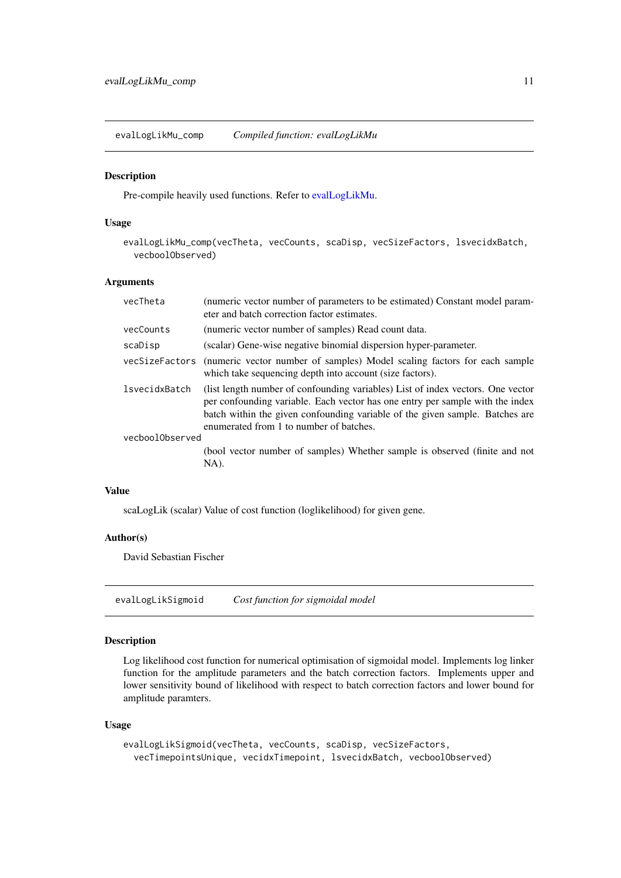<span id="page-10-1"></span><span id="page-10-0"></span>evalLogLikMu\_comp *Compiled function: evalLogLikMu*

### Description

Pre-compile heavily used functions. Refer to [evalLogLikMu.](#page-9-1)

### Usage

evalLogLikMu\_comp(vecTheta, vecCounts, scaDisp, vecSizeFactors, lsvecidxBatch, vecboolObserved)

### Arguments

| vecTheta        | (numeric vector number of parameters to be estimated) Constant model param-<br>eter and batch correction factor estimates.                                                                                                                                                                  |  |
|-----------------|---------------------------------------------------------------------------------------------------------------------------------------------------------------------------------------------------------------------------------------------------------------------------------------------|--|
| vecCounts       | (numeric vector number of samples) Read count data.                                                                                                                                                                                                                                         |  |
| scaDisp         | (scalar) Gene-wise negative binomial dispersion hyper-parameter.                                                                                                                                                                                                                            |  |
| vecSizeFactors  | (numeric vector number of samples) Model scaling factors for each sample<br>which take sequencing depth into account (size factors).                                                                                                                                                        |  |
| lsvecidxBatch   | (list length number of confounding variables) List of index vectors. One vector<br>per confounding variable. Each vector has one entry per sample with the index<br>batch within the given confounding variable of the given sample. Batches are<br>enumerated from 1 to number of batches. |  |
| vecboolObserved |                                                                                                                                                                                                                                                                                             |  |
|                 | (bool vector number of samples) Whether sample is observed (finite and not<br>NA).                                                                                                                                                                                                          |  |

#### Value

scaLogLik (scalar) Value of cost function (loglikelihood) for given gene.

#### Author(s)

David Sebastian Fischer

<span id="page-10-2"></span>evalLogLikSigmoid *Cost function for sigmoidal model*

#### Description

Log likelihood cost function for numerical optimisation of sigmoidal model. Implements log linker function for the amplitude parameters and the batch correction factors. Implements upper and lower sensitivity bound of likelihood with respect to batch correction factors and lower bound for amplitude paramters.

### Usage

```
evalLogLikSigmoid(vecTheta, vecCounts, scaDisp, vecSizeFactors,
 vecTimepointsUnique, vecidxTimepoint, lsvecidxBatch, vecboolObserved)
```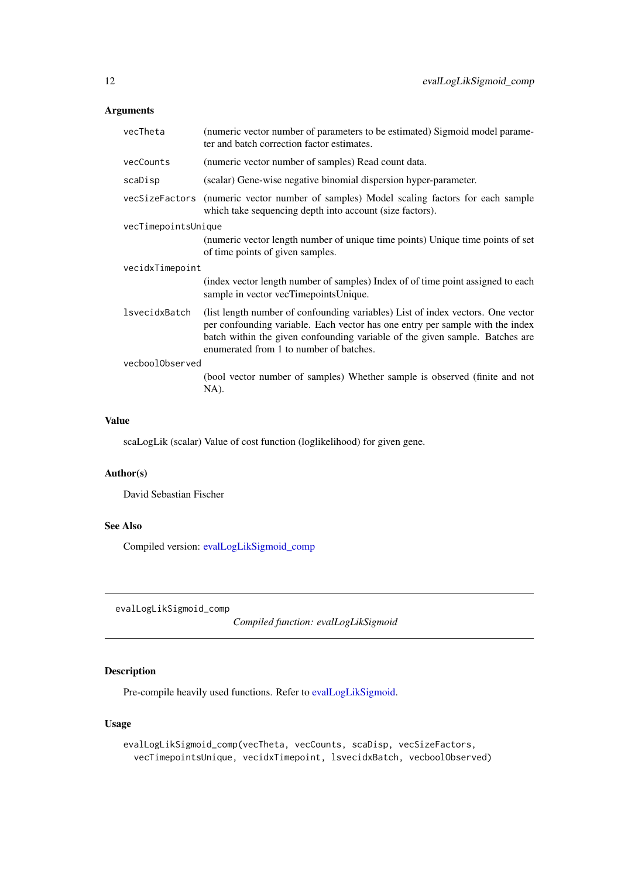### <span id="page-11-0"></span>Arguments

| vecTheta            | (numeric vector number of parameters to be estimated) Sigmoid model parame-<br>ter and batch correction factor estimates.                                                                                                                                                                   |  |
|---------------------|---------------------------------------------------------------------------------------------------------------------------------------------------------------------------------------------------------------------------------------------------------------------------------------------|--|
| vecCounts           | (numeric vector number of samples) Read count data.                                                                                                                                                                                                                                         |  |
| scaDisp             | (scalar) Gene-wise negative binomial dispersion hyper-parameter.                                                                                                                                                                                                                            |  |
|                     | vecSizeFactors (numeric vector number of samples) Model scaling factors for each sample<br>which take sequencing depth into account (size factors).                                                                                                                                         |  |
| vecTimepointsUnique |                                                                                                                                                                                                                                                                                             |  |
|                     | (numeric vector length number of unique time points) Unique time points of set<br>of time points of given samples.                                                                                                                                                                          |  |
| vecidxTimepoint     |                                                                                                                                                                                                                                                                                             |  |
|                     | (index vector length number of samples) Index of of time point assigned to each<br>sample in vector vecTimepointsUnique.                                                                                                                                                                    |  |
| lsvecidxBatch       | (list length number of confounding variables) List of index vectors. One vector<br>per confounding variable. Each vector has one entry per sample with the index<br>batch within the given confounding variable of the given sample. Batches are<br>enumerated from 1 to number of batches. |  |
| vecboolObserved     |                                                                                                                                                                                                                                                                                             |  |
|                     | (bool vector number of samples) Whether sample is observed (finite and not<br>NA).                                                                                                                                                                                                          |  |

### Value

scaLogLik (scalar) Value of cost function (loglikelihood) for given gene.

### Author(s)

David Sebastian Fischer

### See Also

Compiled version: [evalLogLikSigmoid\\_comp](#page-11-1)

<span id="page-11-1"></span>evalLogLikSigmoid\_comp

*Compiled function: evalLogLikSigmoid*

### Description

Pre-compile heavily used functions. Refer to [evalLogLikSigmoid.](#page-10-2)

### Usage

```
evalLogLikSigmoid_comp(vecTheta, vecCounts, scaDisp, vecSizeFactors,
 vecTimepointsUnique, vecidxTimepoint, lsvecidxBatch, vecboolObserved)
```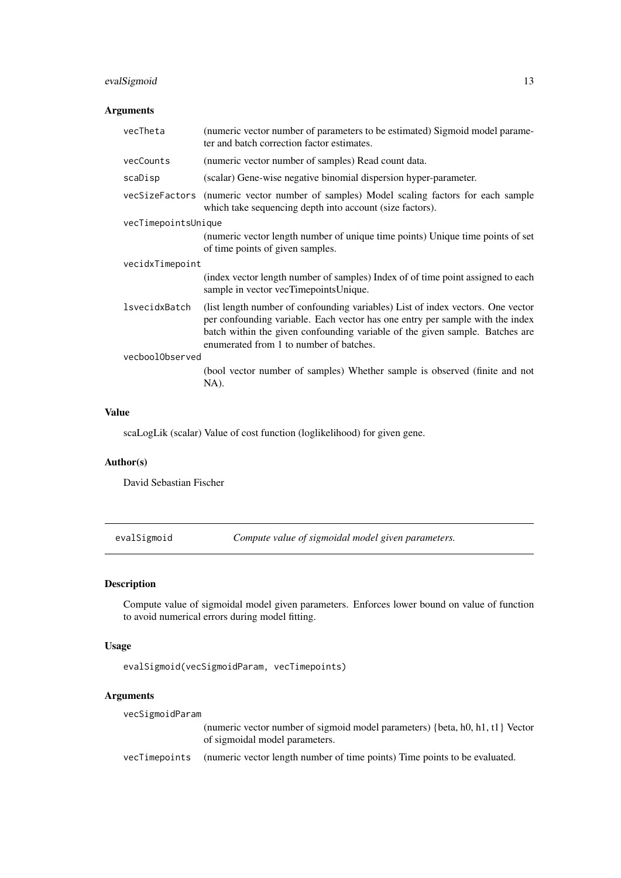#### <span id="page-12-0"></span>evalSigmoid 13

### Arguments

| vecTheta            | (numeric vector number of parameters to be estimated) Sigmoid model parame-<br>ter and batch correction factor estimates.                                                                                                                                                                   |  |
|---------------------|---------------------------------------------------------------------------------------------------------------------------------------------------------------------------------------------------------------------------------------------------------------------------------------------|--|
| vecCounts           | (numeric vector number of samples) Read count data.                                                                                                                                                                                                                                         |  |
| scaDisp             | (scalar) Gene-wise negative binomial dispersion hyper-parameter.                                                                                                                                                                                                                            |  |
|                     | vecSizeFactors (numeric vector number of samples) Model scaling factors for each sample<br>which take sequencing depth into account (size factors).                                                                                                                                         |  |
| vecTimepointsUnique |                                                                                                                                                                                                                                                                                             |  |
|                     | (numeric vector length number of unique time points) Unique time points of set<br>of time points of given samples.                                                                                                                                                                          |  |
| vecidxTimepoint     |                                                                                                                                                                                                                                                                                             |  |
|                     | (index vector length number of samples) Index of of time point assigned to each<br>sample in vector vecTimepointsUnique.                                                                                                                                                                    |  |
| lsvecidxBatch       | (list length number of confounding variables) List of index vectors. One vector<br>per confounding variable. Each vector has one entry per sample with the index<br>batch within the given confounding variable of the given sample. Batches are<br>enumerated from 1 to number of batches. |  |
| vecboolObserved     |                                                                                                                                                                                                                                                                                             |  |
|                     | (bool vector number of samples) Whether sample is observed (finite and not<br>NA).                                                                                                                                                                                                          |  |

### Value

scaLogLik (scalar) Value of cost function (loglikelihood) for given gene.

### Author(s)

David Sebastian Fischer

<span id="page-12-1"></span>evalSigmoid *Compute value of sigmoidal model given parameters.*

### Description

Compute value of sigmoidal model given parameters. Enforces lower bound on value of function to avoid numerical errors during model fitting.

### Usage

evalSigmoid(vecSigmoidParam, vecTimepoints)

### Arguments

vecSigmoidParam

(numeric vector number of sigmoid model parameters) {beta, h0, h1, t1} Vector of sigmoidal model parameters.

vecTimepoints (numeric vector length number of time points) Time points to be evaluated.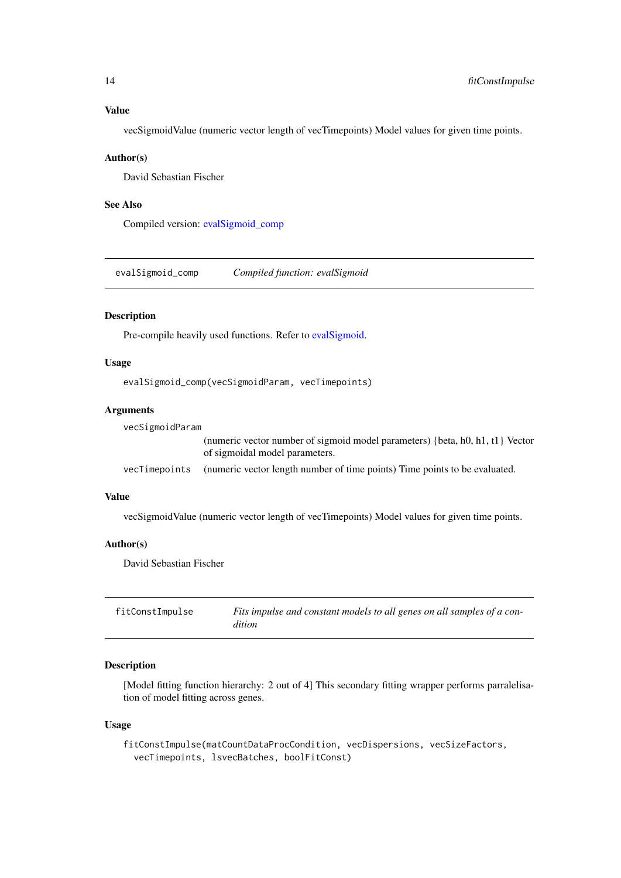### <span id="page-13-0"></span>Value

vecSigmoidValue (numeric vector length of vecTimepoints) Model values for given time points.

### Author(s)

David Sebastian Fischer

### See Also

Compiled version: [evalSigmoid\\_comp](#page-13-1)

<span id="page-13-1"></span>evalSigmoid\_comp *Compiled function: evalSigmoid*

### Description

Pre-compile heavily used functions. Refer to [evalSigmoid.](#page-12-1)

### Usage

```
evalSigmoid_comp(vecSigmoidParam, vecTimepoints)
```
### Arguments

| vecSigmoidParam |                                                                                                                          |
|-----------------|--------------------------------------------------------------------------------------------------------------------------|
|                 | (numeric vector number of sigmoid model parameters) {beta, $h0$ , $h1$ , $t1$ } Vector<br>of sigmoidal model parameters. |
| vecTimepoints   | (numeric vector length number of time points) Time points to be evaluated.                                               |

### Value

vecSigmoidValue (numeric vector length of vecTimepoints) Model values for given time points.

#### Author(s)

David Sebastian Fischer

<span id="page-13-2"></span>

| fitConstImpulse | Fits impulse and constant models to all genes on all samples of a con- |
|-----------------|------------------------------------------------------------------------|
|                 | dition                                                                 |

### Description

[Model fitting function hierarchy: 2 out of 4] This secondary fitting wrapper performs parralelisation of model fitting across genes.

### Usage

```
fitConstImpulse(matCountDataProcCondition, vecDispersions, vecSizeFactors,
 vecTimepoints, lsvecBatches, boolFitConst)
```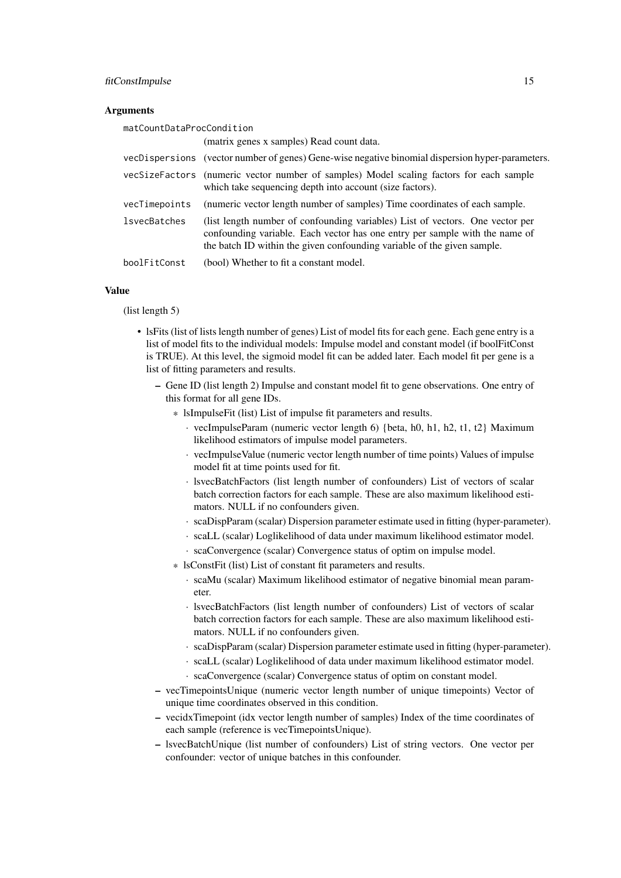#### fitConstImpulse 15

#### Arguments

matCountDataProcCondition

|                     | (matrix genes x samples) Read count data.                                                                                                                                                                                               |
|---------------------|-----------------------------------------------------------------------------------------------------------------------------------------------------------------------------------------------------------------------------------------|
|                     | vecDispersions (vector number of genes) Gene-wise negative binomial dispersion hyper-parameters.                                                                                                                                        |
|                     | vecSizeFactors (numeric vector number of samples) Model scaling factors for each sample<br>which take sequencing depth into account (size factors).                                                                                     |
| vecTimepoints       | (numeric vector length number of samples) Time coordinates of each sample.                                                                                                                                                              |
| <b>lsvecBatches</b> | (list length number of confounding variables) List of vectors. One vector per<br>confounding variable. Each vector has one entry per sample with the name of<br>the batch ID within the given confounding variable of the given sample. |
| boolFitConst        | (bool) Whether to fit a constant model.                                                                                                                                                                                                 |

#### Value

(list length 5)

- lsFits (list of lists length number of genes) List of model fits for each gene. Each gene entry is a list of model fits to the individual models: Impulse model and constant model (if boolFitConst is TRUE). At this level, the sigmoid model fit can be added later. Each model fit per gene is a list of fitting parameters and results.
	- Gene ID (list length 2) Impulse and constant model fit to gene observations. One entry of this format for all gene IDs.
		- \* lsImpulseFit (list) List of impulse fit parameters and results.
			- · vecImpulseParam (numeric vector length 6) {beta, h0, h1, h2, t1, t2} Maximum likelihood estimators of impulse model parameters.
			- · vecImpulseValue (numeric vector length number of time points) Values of impulse model fit at time points used for fit.
			- · lsvecBatchFactors (list length number of confounders) List of vectors of scalar batch correction factors for each sample. These are also maximum likelihood estimators. NULL if no confounders given.
			- · scaDispParam (scalar) Dispersion parameter estimate used in fitting (hyper-parameter).
			- · scaLL (scalar) Loglikelihood of data under maximum likelihood estimator model.
			- scaConvergence (scalar) Convergence status of optim on impulse model.
		- \* lsConstFit (list) List of constant fit parameters and results.
			- · scaMu (scalar) Maximum likelihood estimator of negative binomial mean parameter.
			- · lsvecBatchFactors (list length number of confounders) List of vectors of scalar batch correction factors for each sample. These are also maximum likelihood estimators. NULL if no confounders given.
			- · scaDispParam (scalar) Dispersion parameter estimate used in fitting (hyper-parameter).
			- · scaLL (scalar) Loglikelihood of data under maximum likelihood estimator model.
			- · scaConvergence (scalar) Convergence status of optim on constant model.
	- vecTimepointsUnique (numeric vector length number of unique timepoints) Vector of unique time coordinates observed in this condition.
	- vecidxTimepoint (idx vector length number of samples) Index of the time coordinates of each sample (reference is vecTimepointsUnique).
	- lsvecBatchUnique (list number of confounders) List of string vectors. One vector per confounder: vector of unique batches in this confounder.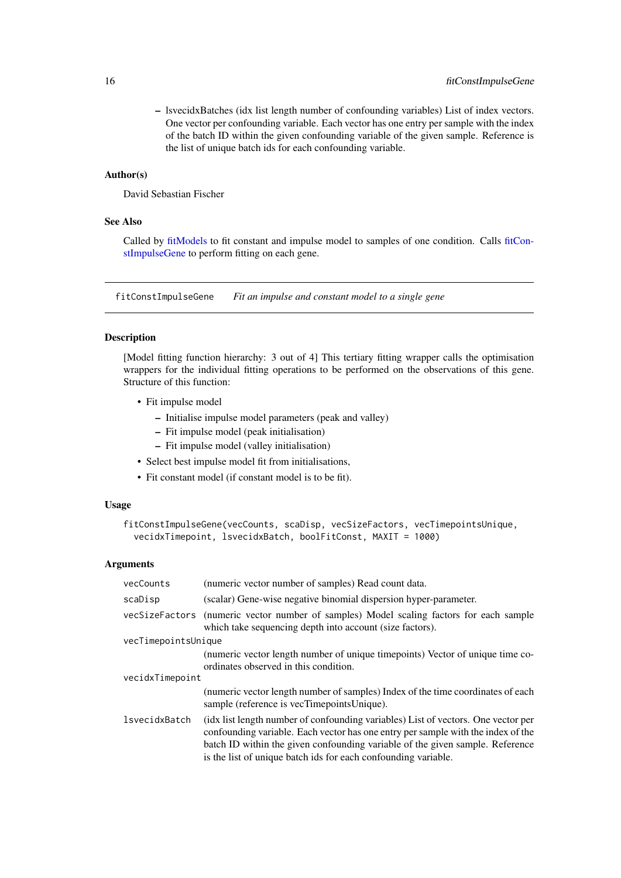<span id="page-15-0"></span>– lsvecidxBatches (idx list length number of confounding variables) List of index vectors. One vector per confounding variable. Each vector has one entry per sample with the index of the batch ID within the given confounding variable of the given sample. Reference is the list of unique batch ids for each confounding variable.

#### Author(s)

David Sebastian Fischer

### See Also

Called by [fitModels](#page-19-1) to fit constant and impulse model to samples of one condition. Calls [fitCon](#page-15-1)[stImpulseGene](#page-15-1) to perform fitting on each gene.

<span id="page-15-1"></span>fitConstImpulseGene *Fit an impulse and constant model to a single gene*

#### Description

[Model fitting function hierarchy: 3 out of 4] This tertiary fitting wrapper calls the optimisation wrappers for the individual fitting operations to be performed on the observations of this gene. Structure of this function:

- Fit impulse model
	- Initialise impulse model parameters (peak and valley)
	- Fit impulse model (peak initialisation)
	- Fit impulse model (valley initialisation)
- Select best impulse model fit from initialisations,
- Fit constant model (if constant model is to be fit).

#### Usage

```
fitConstImpulseGene(vecCounts, scaDisp, vecSizeFactors, vecTimepointsUnique,
 vecidxTimepoint, lsvecidxBatch, boolFitConst, MAXIT = 1000)
```
### Arguments

| vecCounts           | (numeric vector number of samples) Read count data.                                                                                                                                                                                                                                                                      |  |
|---------------------|--------------------------------------------------------------------------------------------------------------------------------------------------------------------------------------------------------------------------------------------------------------------------------------------------------------------------|--|
| scaDisp             | (scalar) Gene-wise negative binomial dispersion hyper-parameter.                                                                                                                                                                                                                                                         |  |
|                     | vecSizeFactors (numeric vector number of samples) Model scaling factors for each sample<br>which take sequencing depth into account (size factors).                                                                                                                                                                      |  |
| vecTimepointsUnique |                                                                                                                                                                                                                                                                                                                          |  |
|                     | (numeric vector length number of unique time points) Vector of unique time co-<br>ordinates observed in this condition.                                                                                                                                                                                                  |  |
| vecidxTimepoint     |                                                                                                                                                                                                                                                                                                                          |  |
|                     | (numeric vector length number of samples) Index of the time coordinates of each<br>sample (reference is vecTimepointsUnique).                                                                                                                                                                                            |  |
| lsvecidxBatch       | (idx list length number of confounding variables) List of vectors. One vector per<br>confounding variable. Each vector has one entry per sample with the index of the<br>batch ID within the given confounding variable of the given sample. Reference<br>is the list of unique batch ids for each confounding variable. |  |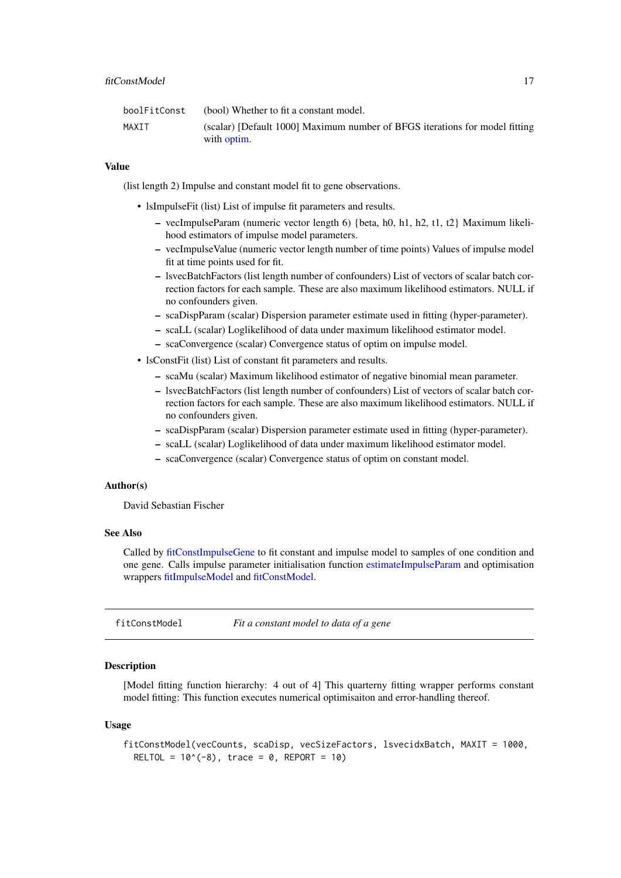<span id="page-16-0"></span>

| boolFitConst | (bool) Whether to fit a constant model.                                                    |
|--------------|--------------------------------------------------------------------------------------------|
| MAXIT        | (scalar) [Default 1000] Maximum number of BFGS iterations for model fitting<br>with optim. |

### Value

(list length 2) Impulse and constant model fit to gene observations.

- lsImpulseFit (list) List of impulse fit parameters and results.
	- vecImpulseParam (numeric vector length 6) {beta, h0, h1, h2, t1, t2} Maximum likelihood estimators of impulse model parameters.
	- vecImpulseValue (numeric vector length number of time points) Values of impulse model fit at time points used for fit.
	- lsvecBatchFactors (list length number of confounders) List of vectors of scalar batch correction factors for each sample. These are also maximum likelihood estimators. NULL if no confounders given.
	- scaDispParam (scalar) Dispersion parameter estimate used in fitting (hyper-parameter).
	- scaLL (scalar) Loglikelihood of data under maximum likelihood estimator model.
	- scaConvergence (scalar) Convergence status of optim on impulse model.
- lsConstFit (list) List of constant fit parameters and results.
	- scaMu (scalar) Maximum likelihood estimator of negative binomial mean parameter.
	- lsvecBatchFactors (list length number of confounders) List of vectors of scalar batch correction factors for each sample. These are also maximum likelihood estimators. NULL if no confounders given.
	- scaDispParam (scalar) Dispersion parameter estimate used in fitting (hyper-parameter).
	- scaLL (scalar) Loglikelihood of data under maximum likelihood estimator model.
	- scaConvergence (scalar) Convergence status of optim on constant model.

### Author(s)

David Sebastian Fischer

### See Also

Called by [fitConstImpulseGene](#page-15-1) to fit constant and impulse model to samples of one condition and one gene. Calls impulse parameter initialisation function [estimateImpulseParam](#page-4-1) and optimisation wrappers [fitImpulseModel](#page-17-1) and [fitConstModel.](#page-16-1)

<span id="page-16-1"></span>

| fitConstModel | Fit a constant model to data of a gene |
|---------------|----------------------------------------|
|---------------|----------------------------------------|

### Description

[Model fitting function hierarchy: 4 out of 4] This quarterny fitting wrapper performs constant model fitting: This function executes numerical optimisaiton and error-handling thereof.

#### Usage

```
fitConstModel(vecCounts, scaDisp, vecSizeFactors, lsvecidxBatch, MAXIT = 1000,
 RELTOL = 10^(-8), trace = 0, REPORT = 10)
```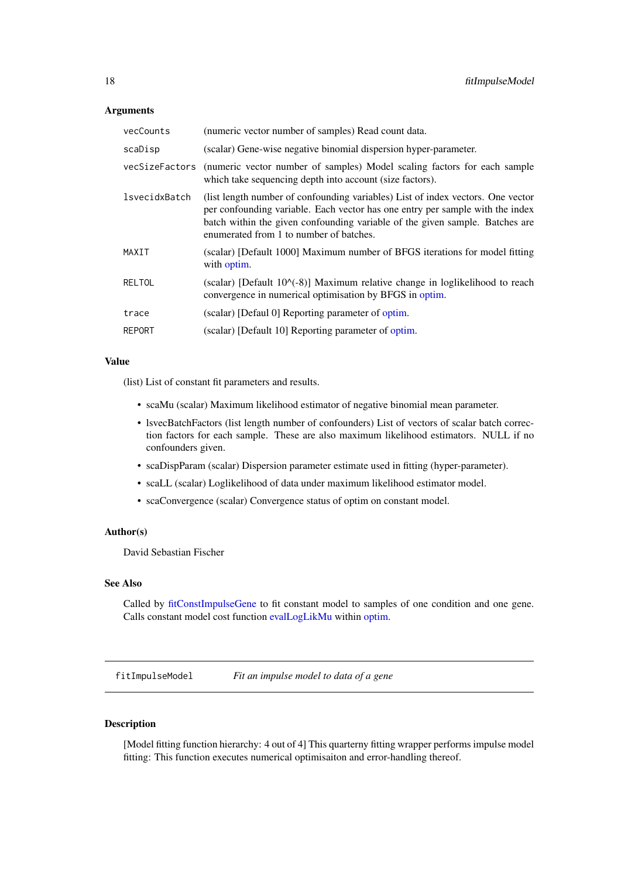### <span id="page-17-0"></span>Arguments

| vecCounts     | (numeric vector number of samples) Read count data.                                                                                                                                                                                                                                         |
|---------------|---------------------------------------------------------------------------------------------------------------------------------------------------------------------------------------------------------------------------------------------------------------------------------------------|
| scaDisp       | (scalar) Gene-wise negative binomial dispersion hyper-parameter.                                                                                                                                                                                                                            |
|               | vecSizeFactors (numeric vector number of samples) Model scaling factors for each sample<br>which take sequencing depth into account (size factors).                                                                                                                                         |
| lsvecidxBatch | (list length number of confounding variables) List of index vectors. One vector<br>per confounding variable. Each vector has one entry per sample with the index<br>batch within the given confounding variable of the given sample. Batches are<br>enumerated from 1 to number of batches. |
| MAXIT         | (scalar) [Default 1000] Maximum number of BFGS iterations for model fitting<br>with optim.                                                                                                                                                                                                  |
| <b>RELTOL</b> | (scalar) [Default $10$ $($ -8)] Maximum relative change in loglikelihood to reach<br>convergence in numerical optimisation by BFGS in optim.                                                                                                                                                |
| trace         | (scalar) [Defaul 0] Reporting parameter of optim.                                                                                                                                                                                                                                           |
| <b>REPORT</b> | (scalar) [Default 10] Reporting parameter of optim.                                                                                                                                                                                                                                         |

### Value

(list) List of constant fit parameters and results.

- scaMu (scalar) Maximum likelihood estimator of negative binomial mean parameter.
- lsvecBatchFactors (list length number of confounders) List of vectors of scalar batch correction factors for each sample. These are also maximum likelihood estimators. NULL if no confounders given.
- scaDispParam (scalar) Dispersion parameter estimate used in fitting (hyper-parameter).
- scaLL (scalar) Loglikelihood of data under maximum likelihood estimator model.
- scaConvergence (scalar) Convergence status of optim on constant model.

#### Author(s)

David Sebastian Fischer

### See Also

Called by [fitConstImpulseGene](#page-15-1) to fit constant model to samples of one condition and one gene. Calls constant model cost function [evalLogLikMu](#page-9-1) within [optim.](#page-0-0)

<span id="page-17-1"></span>fitImpulseModel *Fit an impulse model to data of a gene*

### Description

[Model fitting function hierarchy: 4 out of 4] This quarterny fitting wrapper performs impulse model fitting: This function executes numerical optimisaiton and error-handling thereof.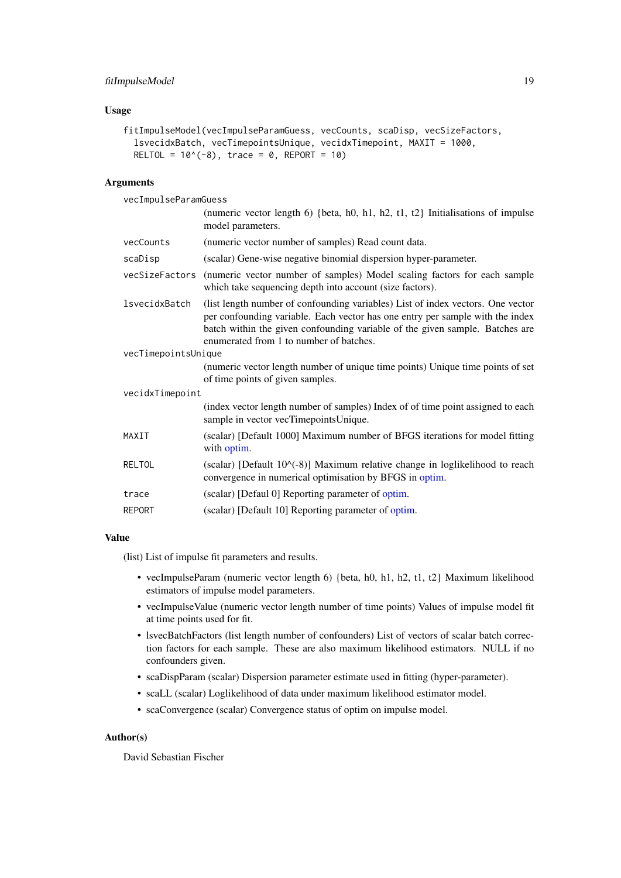#### fitImpulseModel 19

#### Usage

```
fitImpulseModel(vecImpulseParamGuess, vecCounts, scaDisp, vecSizeFactors,
  lsvecidxBatch, vecTimepointsUnique, vecidxTimepoint, MAXIT = 1000,
 RELTOL = 10^{\circ}(-8), trace = 0, REPORT = 10)
```
### Arguments

vecImpulseParamGuess

|                     | (numeric vector length 6) {beta, h0, h1, h2, t1, t2} Initialisations of impulse<br>model parameters.                                                                                                                                                                                        |  |
|---------------------|---------------------------------------------------------------------------------------------------------------------------------------------------------------------------------------------------------------------------------------------------------------------------------------------|--|
| vecCounts           | (numeric vector number of samples) Read count data.                                                                                                                                                                                                                                         |  |
| scaDisp             | (scalar) Gene-wise negative binomial dispersion hyper-parameter.                                                                                                                                                                                                                            |  |
|                     | vecSizeFactors (numeric vector number of samples) Model scaling factors for each sample<br>which take sequencing depth into account (size factors).                                                                                                                                         |  |
| lsvecidxBatch       | (list length number of confounding variables) List of index vectors. One vector<br>per confounding variable. Each vector has one entry per sample with the index<br>batch within the given confounding variable of the given sample. Batches are<br>enumerated from 1 to number of batches. |  |
| vecTimepointsUnique |                                                                                                                                                                                                                                                                                             |  |
|                     | (numeric vector length number of unique time points) Unique time points of set<br>of time points of given samples.                                                                                                                                                                          |  |
| vecidxTimepoint     |                                                                                                                                                                                                                                                                                             |  |
|                     | (index vector length number of samples) Index of of time point assigned to each<br>sample in vector vecTimepointsUnique.                                                                                                                                                                    |  |
| MAXIT               | (scalar) [Default 1000] Maximum number of BFGS iterations for model fitting<br>with optim.                                                                                                                                                                                                  |  |
| <b>RELTOL</b>       | (scalar) [Default 10^(-8)] Maximum relative change in loglikelihood to reach<br>convergence in numerical optimisation by BFGS in optim.                                                                                                                                                     |  |
| trace               | (scalar) [Defaul 0] Reporting parameter of optim.                                                                                                                                                                                                                                           |  |
| <b>REPORT</b>       | (scalar) [Default 10] Reporting parameter of optim.                                                                                                                                                                                                                                         |  |
|                     |                                                                                                                                                                                                                                                                                             |  |

#### Value

(list) List of impulse fit parameters and results.

- vecImpulseParam (numeric vector length 6) {beta, h0, h1, h2, t1, t2} Maximum likelihood estimators of impulse model parameters.
- vecImpulseValue (numeric vector length number of time points) Values of impulse model fit at time points used for fit.
- lsvecBatchFactors (list length number of confounders) List of vectors of scalar batch correction factors for each sample. These are also maximum likelihood estimators. NULL if no confounders given.
- scaDispParam (scalar) Dispersion parameter estimate used in fitting (hyper-parameter).
- scaLL (scalar) Loglikelihood of data under maximum likelihood estimator model.
- scaConvergence (scalar) Convergence status of optim on impulse model.

### Author(s)

David Sebastian Fischer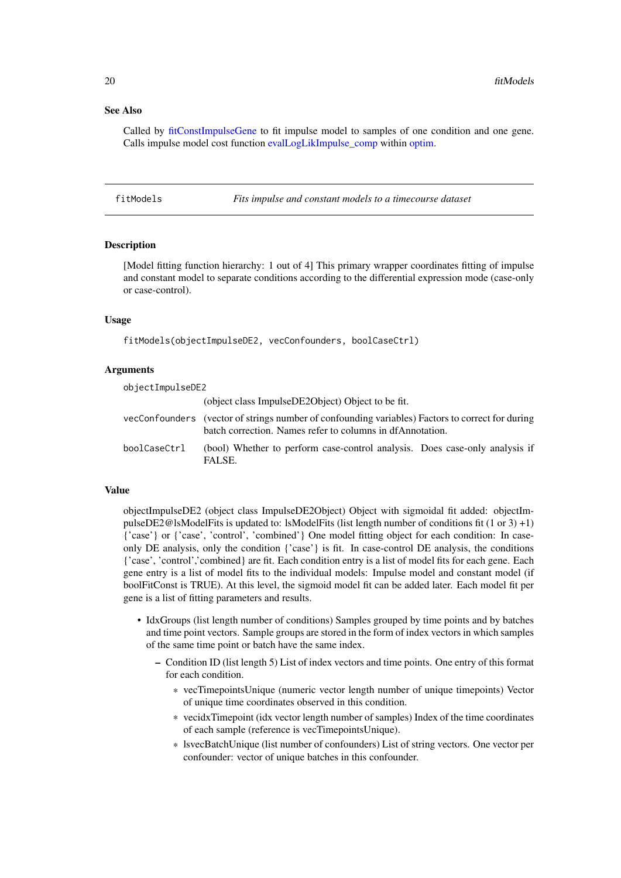#### <span id="page-19-0"></span>See Also

Called by [fitConstImpulseGene](#page-15-1) to fit impulse model to samples of one condition and one gene. Calls impulse model cost function [evalLogLikImpulse\\_comp](#page-8-1) within [optim.](#page-0-0)

<span id="page-19-1"></span>fitModels *Fits impulse and constant models to a timecourse dataset*

#### Description

[Model fitting function hierarchy: 1 out of 4] This primary wrapper coordinates fitting of impulse and constant model to separate conditions according to the differential expression mode (case-only or case-control).

#### Usage

fitModels(objectImpulseDE2, vecConfounders, boolCaseCtrl)

#### Arguments

| objectImpulseDE2 |                                                                                                                                                               |  |
|------------------|---------------------------------------------------------------------------------------------------------------------------------------------------------------|--|
|                  | (object class ImpulseDE2Object) Object to be fit.                                                                                                             |  |
|                  | vecConfounders (vector of strings number of confounding variables) Factors to correct for during<br>batch correction. Names refer to columns in dfAnnotation. |  |
| boolCaseCtrl     | (bool) Whether to perform case-control analysis. Does case-only analysis if<br>FALSE.                                                                         |  |

#### Value

objectImpulseDE2 (object class ImpulseDE2Object) Object with sigmoidal fit added: objectImpulseDE2@lsModelFits is updated to: lsModelFits (list length number of conditions fit (1 or 3) +1) {'case'} or {'case', 'control', 'combined'} One model fitting object for each condition: In caseonly DE analysis, only the condition {'case'} is fit. In case-control DE analysis, the conditions {'case', 'control','combined} are fit. Each condition entry is a list of model fits for each gene. Each gene entry is a list of model fits to the individual models: Impulse model and constant model (if boolFitConst is TRUE). At this level, the sigmoid model fit can be added later. Each model fit per gene is a list of fitting parameters and results.

- IdxGroups (list length number of conditions) Samples grouped by time points and by batches and time point vectors. Sample groups are stored in the form of index vectors in which samples of the same time point or batch have the same index.
	- Condition ID (list length 5) List of index vectors and time points. One entry of this format for each condition.
		- \* vecTimepointsUnique (numeric vector length number of unique timepoints) Vector of unique time coordinates observed in this condition.
		- \* vecidxTimepoint (idx vector length number of samples) Index of the time coordinates of each sample (reference is vecTimepointsUnique).
		- \* lsvecBatchUnique (list number of confounders) List of string vectors. One vector per confounder: vector of unique batches in this confounder.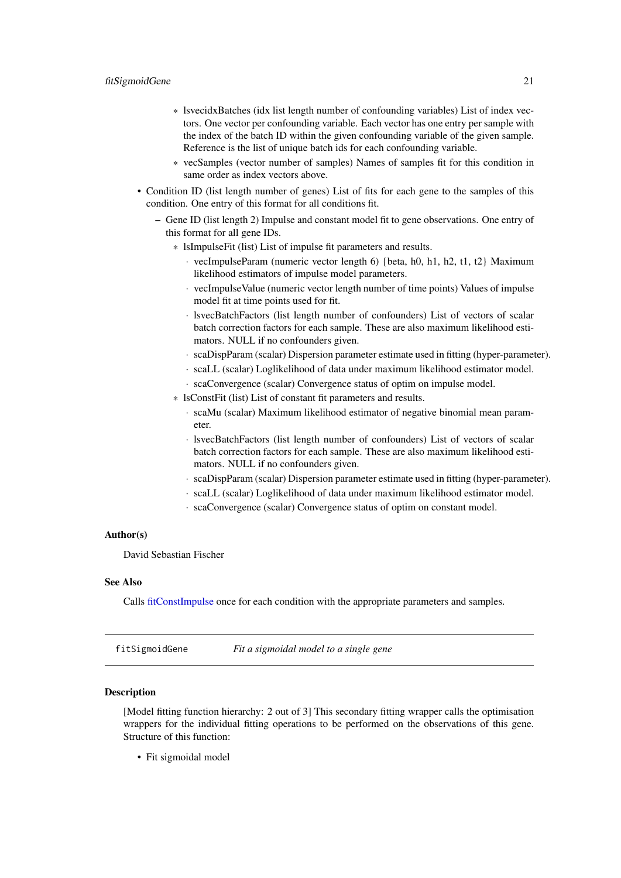#### <span id="page-20-0"></span>fitSigmoidGene 21

- \* lsvecidxBatches (idx list length number of confounding variables) List of index vectors. One vector per confounding variable. Each vector has one entry per sample with the index of the batch ID within the given confounding variable of the given sample. Reference is the list of unique batch ids for each confounding variable.
- \* vecSamples (vector number of samples) Names of samples fit for this condition in same order as index vectors above.
- Condition ID (list length number of genes) List of fits for each gene to the samples of this condition. One entry of this format for all conditions fit.
	- Gene ID (list length 2) Impulse and constant model fit to gene observations. One entry of this format for all gene IDs.
		- \* lsImpulseFit (list) List of impulse fit parameters and results.
			- · vecImpulseParam (numeric vector length 6) {beta, h0, h1, h2, t1, t2} Maximum likelihood estimators of impulse model parameters.
			- · vecImpulseValue (numeric vector length number of time points) Values of impulse model fit at time points used for fit.
			- · lsvecBatchFactors (list length number of confounders) List of vectors of scalar batch correction factors for each sample. These are also maximum likelihood estimators. NULL if no confounders given.
			- · scaDispParam (scalar) Dispersion parameter estimate used in fitting (hyper-parameter).
			- · scaLL (scalar) Loglikelihood of data under maximum likelihood estimator model.
			- · scaConvergence (scalar) Convergence status of optim on impulse model.
		- \* lsConstFit (list) List of constant fit parameters and results.
			- · scaMu (scalar) Maximum likelihood estimator of negative binomial mean parameter.
			- · lsvecBatchFactors (list length number of confounders) List of vectors of scalar batch correction factors for each sample. These are also maximum likelihood estimators. NULL if no confounders given.
			- scaDispParam (scalar) Dispersion parameter estimate used in fitting (hyper-parameter).
			- · scaLL (scalar) Loglikelihood of data under maximum likelihood estimator model.
			- · scaConvergence (scalar) Convergence status of optim on constant model.

#### Author(s)

David Sebastian Fischer

#### See Also

Calls [fitConstImpulse](#page-13-2) once for each condition with the appropriate parameters and samples.

<span id="page-20-1"></span>fitSigmoidGene *Fit a sigmoidal model to a single gene*

#### Description

[Model fitting function hierarchy: 2 out of 3] This secondary fitting wrapper calls the optimisation wrappers for the individual fitting operations to be performed on the observations of this gene. Structure of this function:

• Fit sigmoidal model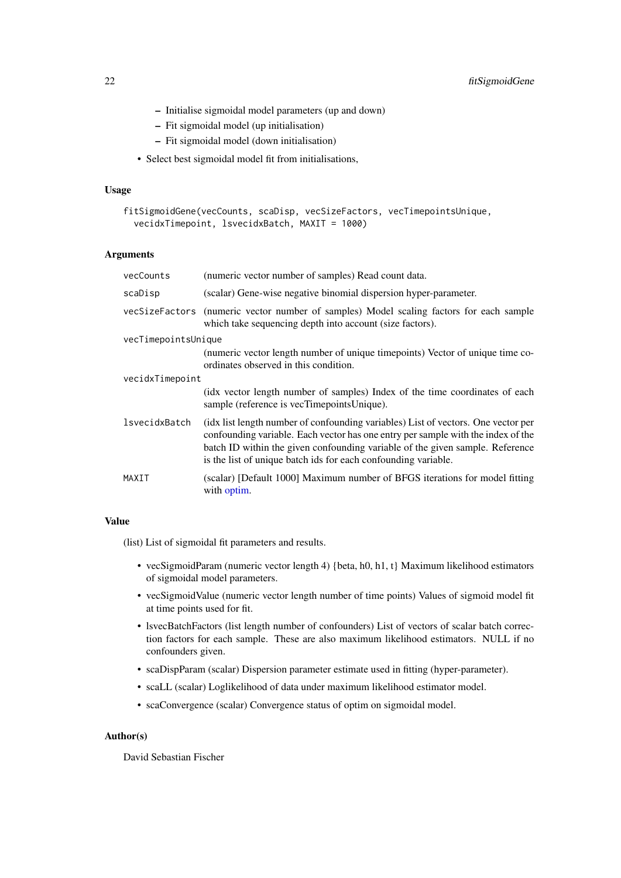- <span id="page-21-0"></span>– Initialise sigmoidal model parameters (up and down)
- Fit sigmoidal model (up initialisation)
- Fit sigmoidal model (down initialisation)
- Select best sigmoidal model fit from initialisations,

### Usage

```
fitSigmoidGene(vecCounts, scaDisp, vecSizeFactors, vecTimepointsUnique,
 vecidxTimepoint, lsvecidxBatch, MAXIT = 1000)
```
#### Arguments

| vecCounts           | (numeric vector number of samples) Read count data.                                                                                                                                                                                                                                                                      |  |
|---------------------|--------------------------------------------------------------------------------------------------------------------------------------------------------------------------------------------------------------------------------------------------------------------------------------------------------------------------|--|
| scaDisp             | (scalar) Gene-wise negative binomial dispersion hyper-parameter.                                                                                                                                                                                                                                                         |  |
|                     | vecSizeFactors (numeric vector number of samples) Model scaling factors for each sample<br>which take sequencing depth into account (size factors).                                                                                                                                                                      |  |
| vecTimepointsUnique |                                                                                                                                                                                                                                                                                                                          |  |
|                     | (numeric vector length number of unique timepoints) Vector of unique time co-<br>ordinates observed in this condition.                                                                                                                                                                                                   |  |
| vecidxTimepoint     |                                                                                                                                                                                                                                                                                                                          |  |
|                     | (idx vector length number of samples) Index of the time coordinates of each<br>sample (reference is vecTimepointsUnique).                                                                                                                                                                                                |  |
| lsvecidxBatch       | (idx list length number of confounding variables) List of vectors. One vector per<br>confounding variable. Each vector has one entry per sample with the index of the<br>batch ID within the given confounding variable of the given sample. Reference<br>is the list of unique batch ids for each confounding variable. |  |
| MAXIT               | (scalar) [Default 1000] Maximum number of BFGS iterations for model fitting<br>with optim.                                                                                                                                                                                                                               |  |

### Value

(list) List of sigmoidal fit parameters and results.

- vecSigmoidParam (numeric vector length 4) {beta, h0, h1, t} Maximum likelihood estimators of sigmoidal model parameters.
- vecSigmoidValue (numeric vector length number of time points) Values of sigmoid model fit at time points used for fit.
- lsvecBatchFactors (list length number of confounders) List of vectors of scalar batch correction factors for each sample. These are also maximum likelihood estimators. NULL if no confounders given.
- scaDispParam (scalar) Dispersion parameter estimate used in fitting (hyper-parameter).
- scaLL (scalar) Loglikelihood of data under maximum likelihood estimator model.
- scaConvergence (scalar) Convergence status of optim on sigmoidal model.

### Author(s)

David Sebastian Fischer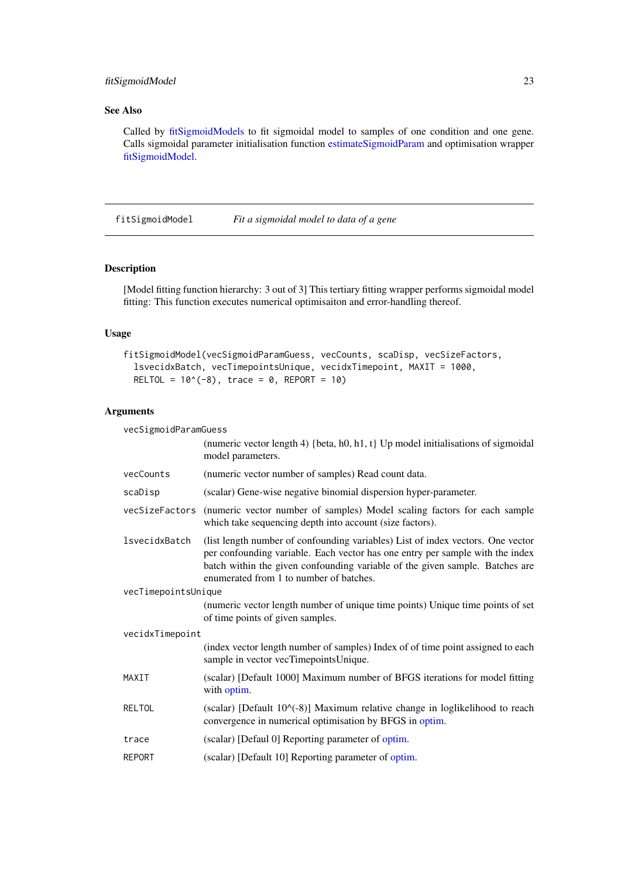#### <span id="page-22-0"></span>fitSigmoidModel 23

### See Also

Called by [fitSigmoidModels](#page-23-1) to fit sigmoidal model to samples of one condition and one gene. Calls sigmoidal parameter initialisation function [estimateSigmoidParam](#page-5-1) and optimisation wrapper [fitSigmoidModel.](#page-22-1)

<span id="page-22-1"></span>fitSigmoidModel *Fit a sigmoidal model to data of a gene*

### Description

[Model fitting function hierarchy: 3 out of 3] This tertiary fitting wrapper performs sigmoidal model fitting: This function executes numerical optimisaiton and error-handling thereof.

### Usage

```
fitSigmoidModel(vecSigmoidParamGuess, vecCounts, scaDisp, vecSizeFactors,
  lsvecidxBatch, vecTimepointsUnique, vecidxTimepoint, MAXIT = 1000,
 RELTOL = 10^(-8), trace = 0, REPORT = 10)
```
### Arguments

| vecSigmoidParamGuess |                                                                                                                                                                                                                                                                                             |  |
|----------------------|---------------------------------------------------------------------------------------------------------------------------------------------------------------------------------------------------------------------------------------------------------------------------------------------|--|
|                      | (numeric vector length 4) {beta, h0, h1, t} Up model initialisations of sigmoidal<br>model parameters.                                                                                                                                                                                      |  |
| vecCounts            | (numeric vector number of samples) Read count data.                                                                                                                                                                                                                                         |  |
| scaDisp              | (scalar) Gene-wise negative binomial dispersion hyper-parameter.                                                                                                                                                                                                                            |  |
|                      | vecSizeFactors (numeric vector number of samples) Model scaling factors for each sample<br>which take sequencing depth into account (size factors).                                                                                                                                         |  |
| <b>lsvecidxBatch</b> | (list length number of confounding variables) List of index vectors. One vector<br>per confounding variable. Each vector has one entry per sample with the index<br>batch within the given confounding variable of the given sample. Batches are<br>enumerated from 1 to number of batches. |  |
| vecTimepointsUnique  |                                                                                                                                                                                                                                                                                             |  |
|                      | (numeric vector length number of unique time points) Unique time points of set<br>of time points of given samples.                                                                                                                                                                          |  |
| vecidxTimepoint      |                                                                                                                                                                                                                                                                                             |  |
|                      | (index vector length number of samples) Index of of time point assigned to each<br>sample in vector vecTimepointsUnique.                                                                                                                                                                    |  |
| MAXIT                | (scalar) [Default 1000] Maximum number of BFGS iterations for model fitting<br>with optim.                                                                                                                                                                                                  |  |
| <b>RELTOL</b>        | (scalar) [Default 10^(-8)] Maximum relative change in loglikelihood to reach<br>convergence in numerical optimisation by BFGS in optim.                                                                                                                                                     |  |
| trace                | (scalar) [Defaul 0] Reporting parameter of optim.                                                                                                                                                                                                                                           |  |
| <b>REPORT</b>        | (scalar) [Default 10] Reporting parameter of optim.                                                                                                                                                                                                                                         |  |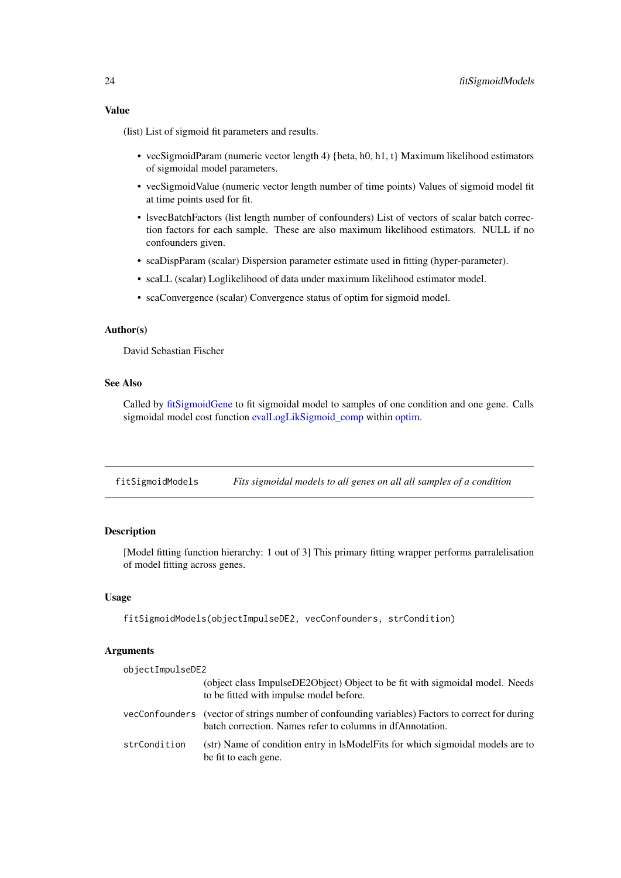<span id="page-23-0"></span>(list) List of sigmoid fit parameters and results.

- vecSigmoidParam (numeric vector length 4) {beta, h0, h1, t} Maximum likelihood estimators of sigmoidal model parameters.
- vecSigmoidValue (numeric vector length number of time points) Values of sigmoid model fit at time points used for fit.
- lsvecBatchFactors (list length number of confounders) List of vectors of scalar batch correction factors for each sample. These are also maximum likelihood estimators. NULL if no confounders given.
- scaDispParam (scalar) Dispersion parameter estimate used in fitting (hyper-parameter).
- scaLL (scalar) Loglikelihood of data under maximum likelihood estimator model.
- scaConvergence (scalar) Convergence status of optim for sigmoid model.

#### Author(s)

David Sebastian Fischer

### See Also

Called by [fitSigmoidGene](#page-20-1) to fit sigmoidal model to samples of one condition and one gene. Calls sigmoidal model cost function [evalLogLikSigmoid\\_comp](#page-11-1) within [optim.](#page-0-0)

<span id="page-23-1"></span>fitSigmoidModels *Fits sigmoidal models to all genes on all all samples of a condition*

### Description

[Model fitting function hierarchy: 1 out of 3] This primary fitting wrapper performs parralelisation of model fitting across genes.

#### Usage

fitSigmoidModels(objectImpulseDE2, vecConfounders, strCondition)

#### Arguments

| objectImpulseDE2 |                                                                                                                                                               |
|------------------|---------------------------------------------------------------------------------------------------------------------------------------------------------------|
|                  | (object class ImpulseDE2Object) Object to be fit with sigmoidal model. Needs<br>to be fitted with impulse model before.                                       |
|                  | vecConfounders (vector of strings number of confounding variables) Factors to correct for during<br>batch correction. Names refer to columns in dfAnnotation. |
| strCondition     | (str) Name of condition entry in IsModelFits for which sigmoidal models are to<br>be fit to each gene.                                                        |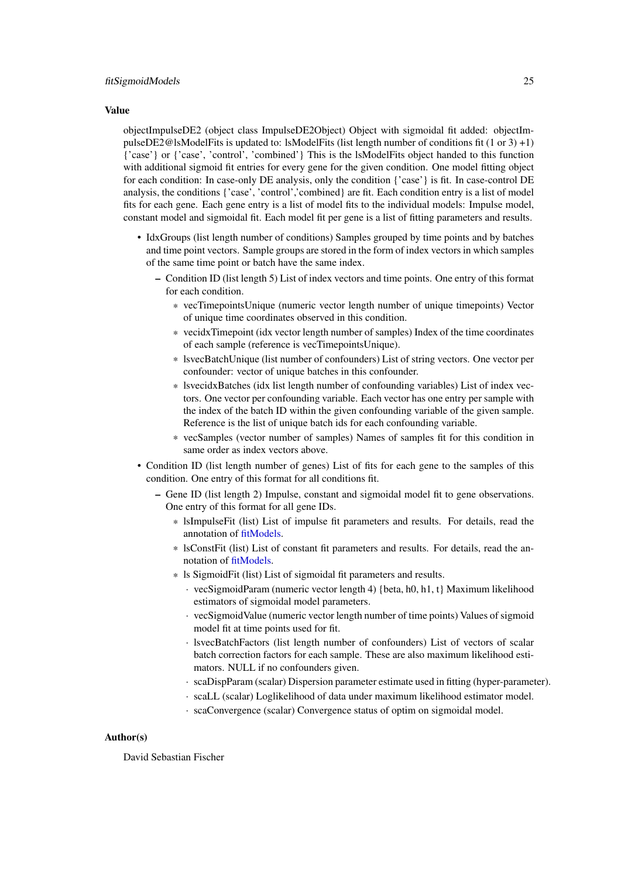#### <span id="page-24-0"></span>Value

objectImpulseDE2 (object class ImpulseDE2Object) Object with sigmoidal fit added: objectImpulseDE2@lsModelFits is updated to: lsModelFits (list length number of conditions fit (1 or 3) +1) {'case'} or {'case', 'control', 'combined'} This is the lsModelFits object handed to this function with additional sigmoid fit entries for every gene for the given condition. One model fitting object for each condition: In case-only DE analysis, only the condition {'case'} is fit. In case-control DE analysis, the conditions {'case', 'control','combined} are fit. Each condition entry is a list of model fits for each gene. Each gene entry is a list of model fits to the individual models: Impulse model, constant model and sigmoidal fit. Each model fit per gene is a list of fitting parameters and results.

- IdxGroups (list length number of conditions) Samples grouped by time points and by batches and time point vectors. Sample groups are stored in the form of index vectors in which samples of the same time point or batch have the same index.
	- Condition ID (list length 5) List of index vectors and time points. One entry of this format for each condition.
		- \* vecTimepointsUnique (numeric vector length number of unique timepoints) Vector of unique time coordinates observed in this condition.
		- \* vecidxTimepoint (idx vector length number of samples) Index of the time coordinates of each sample (reference is vecTimepointsUnique).
		- \* lsvecBatchUnique (list number of confounders) List of string vectors. One vector per confounder: vector of unique batches in this confounder.
		- \* lsvecidxBatches (idx list length number of confounding variables) List of index vectors. One vector per confounding variable. Each vector has one entry per sample with the index of the batch ID within the given confounding variable of the given sample. Reference is the list of unique batch ids for each confounding variable.
		- \* vecSamples (vector number of samples) Names of samples fit for this condition in same order as index vectors above.
- Condition ID (list length number of genes) List of fits for each gene to the samples of this condition. One entry of this format for all conditions fit.
	- Gene ID (list length 2) Impulse, constant and sigmoidal model fit to gene observations. One entry of this format for all gene IDs.
		- \* lsImpulseFit (list) List of impulse fit parameters and results. For details, read the annotation of [fitModels.](#page-19-1)
		- \* lsConstFit (list) List of constant fit parameters and results. For details, read the annotation of [fitModels.](#page-19-1)
		- \* ls SigmoidFit (list) List of sigmoidal fit parameters and results.
			- · vecSigmoidParam (numeric vector length 4) {beta, h0, h1, t} Maximum likelihood estimators of sigmoidal model parameters.
			- · vecSigmoidValue (numeric vector length number of time points) Values of sigmoid model fit at time points used for fit.
			- · lsvecBatchFactors (list length number of confounders) List of vectors of scalar batch correction factors for each sample. These are also maximum likelihood estimators. NULL if no confounders given.
			- · scaDispParam (scalar) Dispersion parameter estimate used in fitting (hyper-parameter).
			- · scaLL (scalar) Loglikelihood of data under maximum likelihood estimator model.
			- · scaConvergence (scalar) Convergence status of optim on sigmoidal model.

### Author(s)

David Sebastian Fischer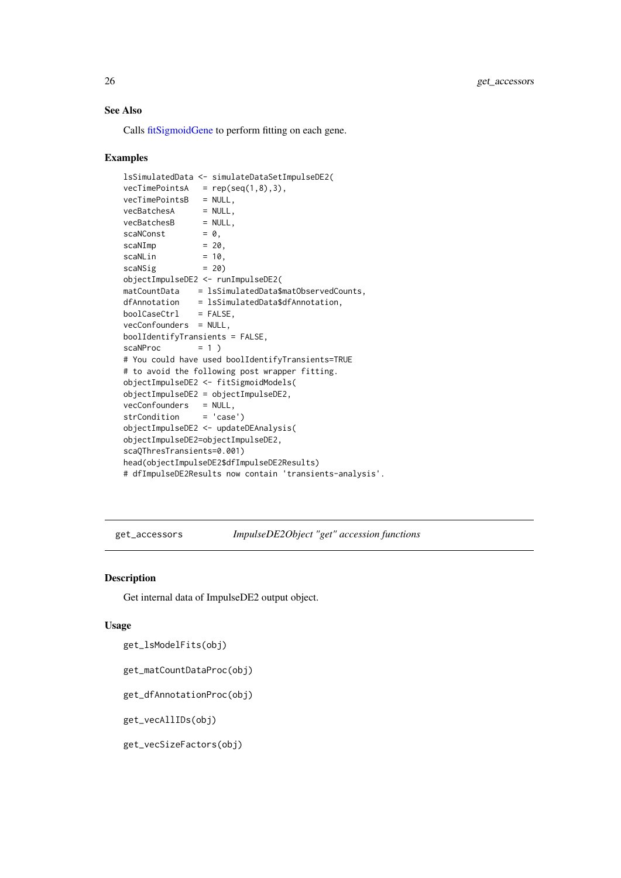<span id="page-25-0"></span>26 get\_accessors

### See Also

Calls [fitSigmoidGene](#page-20-1) to perform fitting on each gene.

#### Examples

```
lsSimulatedData <- simulateDataSetImpulseDE2(
vecTimePointsA = rep(seq(1,8),3),vecTimePointsB = NULL,
vecBatchesA = NULL,
vecBatchesB = NULL,
scalarConst = 0,\begin{array}{rcl} \text{scal} \text{Imp} & = & 20, \\ \text{scal} \text{sin} & = & 10, \end{array}scaNLin
scaNSig = 20objectImpulseDE2 <- runImpulseDE2(
matCountData = lsSimulatedData$matObservedCounts,
dfAnnotation = lsSimulatedData$dfAnnotation,
booleanCart1 = FALSE.vecConfounders = NULL,
boolIdentifyTransients = FALSE,
scalarProc = 1)# You could have used boolIdentifyTransients=TRUE
# to avoid the following post wrapper fitting.
objectImpulseDE2 <- fitSigmoidModels(
objectImpulseDE2 = objectImpulseDE2,
vecConfounders = NULL,
strCondition = 'case')
objectImpulseDE2 <- updateDEAnalysis(
objectImpulseDE2=objectImpulseDE2,
scaQThresTransients=0.001)
head(objectImpulseDE2$dfImpulseDE2Results)
# dfImpulseDE2Results now contain 'transients-analysis'.
```
get\_accessors *ImpulseDE2Object "get" accession functions*

#### Description

Get internal data of ImpulseDE2 output object.

#### Usage

get\_lsModelFits(obj)

- get\_matCountDataProc(obj)
- get\_dfAnnotationProc(obj)

get\_vecAllIDs(obj)

get\_vecSizeFactors(obj)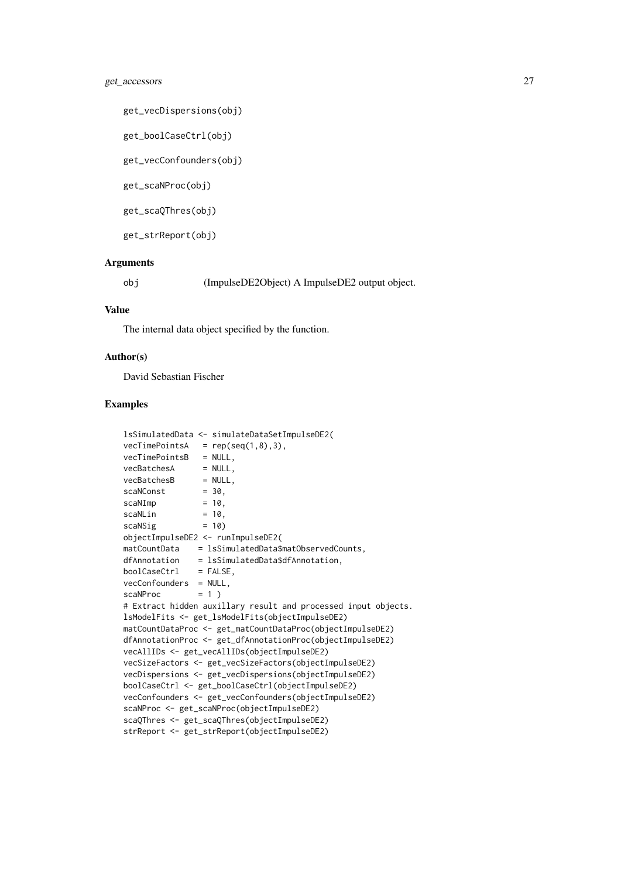#### get\_accessors 27

get\_vecDispersions(obj)

get\_boolCaseCtrl(obj)

get\_vecConfounders(obj)

get\_scaNProc(obj)

get\_scaQThres(obj)

get\_strReport(obj)

#### Arguments

obj (ImpulseDE2Object) A ImpulseDE2 output object.

#### Value

The internal data object specified by the function.

#### Author(s)

David Sebastian Fischer

### Examples

```
lsSimulatedData <- simulateDataSetImpulseDE2(
vecTimePointsA = rep(seq(1,8),3),vecTimePointsB = NULL,
vecBatchesA = NULL,
vecBatchesB = NULL,
scalConst = 30,
scaNImp = 10,scallin = 10,
scaNSig = 10objectImpulseDE2 <- runImpulseDE2(
matCountData = lsSimulatedData$matObservedCounts,
dfAnnotation = lsSimulatedData$dfAnnotation,
boolean = FALSE,
vecConfounders = NULL,
scalProc = 1)# Extract hidden auxillary result and processed input objects.
lsModelFits <- get_lsModelFits(objectImpulseDE2)
matCountDataProc <- get_matCountDataProc(objectImpulseDE2)
dfAnnotationProc <- get_dfAnnotationProc(objectImpulseDE2)
vecAllIDs <- get_vecAllIDs(objectImpulseDE2)
vecSizeFactors <- get_vecSizeFactors(objectImpulseDE2)
vecDispersions <- get_vecDispersions(objectImpulseDE2)
boolCaseCtrl <- get_boolCaseCtrl(objectImpulseDE2)
vecConfounders <- get_vecConfounders(objectImpulseDE2)
scaNProc <- get_scaNProc(objectImpulseDE2)
scaQThres <- get_scaQThres(objectImpulseDE2)
strReport <- get_strReport(objectImpulseDE2)
```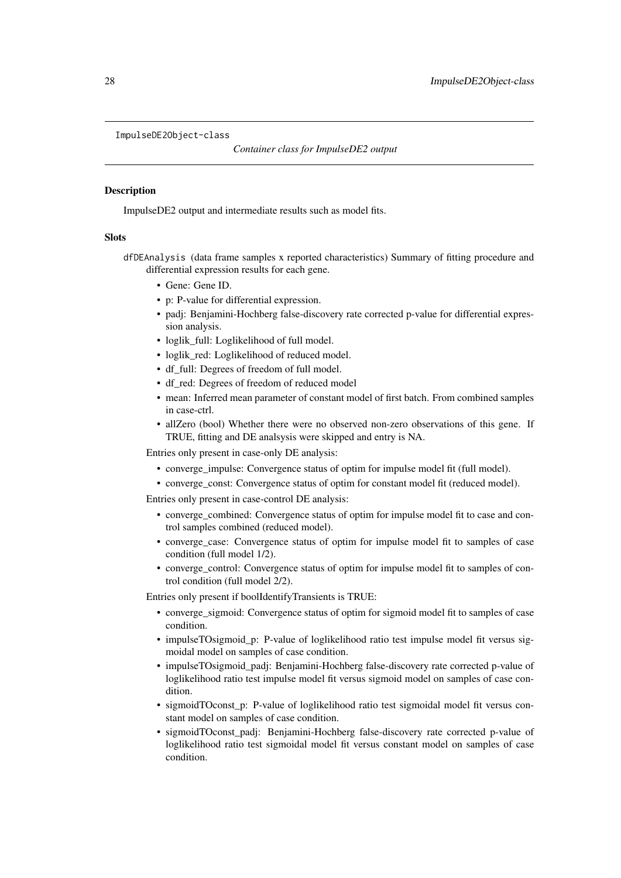#### <span id="page-27-0"></span>ImpulseDE2Object-class

*Container class for ImpulseDE2 output*

#### **Description**

ImpulseDE2 output and intermediate results such as model fits.

### Slots

- dfDEAnalysis (data frame samples x reported characteristics) Summary of fitting procedure and differential expression results for each gene.
	- Gene: Gene ID.
	- p: P-value for differential expression.
	- padj: Benjamini-Hochberg false-discovery rate corrected p-value for differential expression analysis.
	- loglik\_full: Loglikelihood of full model.
	- loglik red: Loglikelihood of reduced model.
	- df\_full: Degrees of freedom of full model.
	- df red: Degrees of freedom of reduced model
	- mean: Inferred mean parameter of constant model of first batch. From combined samples in case-ctrl.
	- allZero (bool) Whether there were no observed non-zero observations of this gene. If TRUE, fitting and DE analsysis were skipped and entry is NA.

Entries only present in case-only DE analysis:

- converge\_impulse: Convergence status of optim for impulse model fit (full model).
- converge\_const: Convergence status of optim for constant model fit (reduced model).

Entries only present in case-control DE analysis:

- converge\_combined: Convergence status of optim for impulse model fit to case and control samples combined (reduced model).
- converge\_case: Convergence status of optim for impulse model fit to samples of case condition (full model 1/2).
- converge control: Convergence status of optim for impulse model fit to samples of control condition (full model 2/2).

Entries only present if boolIdentifyTransients is TRUE:

- converge\_sigmoid: Convergence status of optim for sigmoid model fit to samples of case condition.
- impulseTOsigmoid p: P-value of loglikelihood ratio test impulse model fit versus sigmoidal model on samples of case condition.
- impulseTOsigmoid padj: Benjamini-Hochberg false-discovery rate corrected p-value of loglikelihood ratio test impulse model fit versus sigmoid model on samples of case condition.
- sigmoidTOconst\_p: P-value of loglikelihood ratio test sigmoidal model fit versus constant model on samples of case condition.
- sigmoidTOconst\_padj: Benjamini-Hochberg false-discovery rate corrected p-value of loglikelihood ratio test sigmoidal model fit versus constant model on samples of case condition.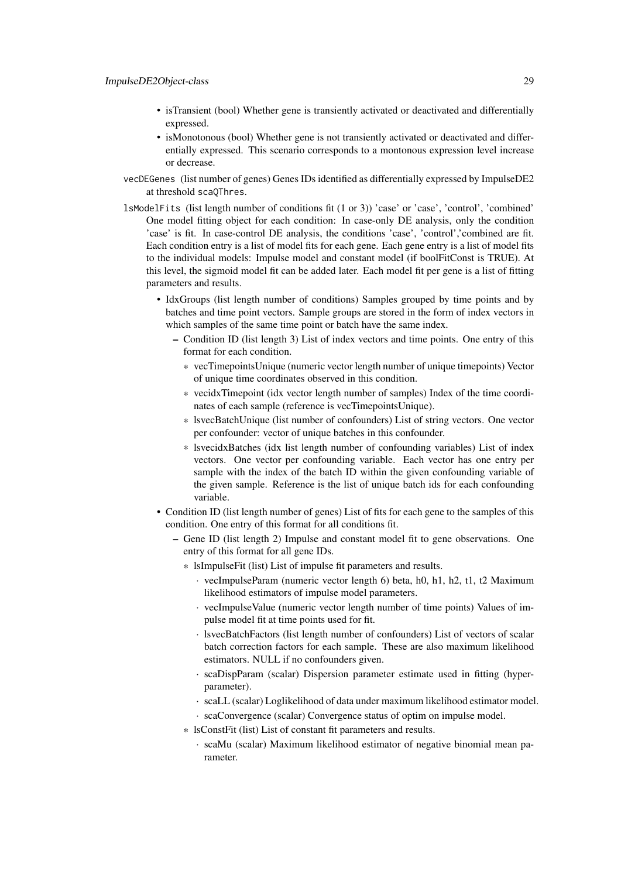- isTransient (bool) Whether gene is transiently activated or deactivated and differentially expressed.
- isMonotonous (bool) Whether gene is not transiently activated or deactivated and differentially expressed. This scenario corresponds to a montonous expression level increase or decrease.
- vecDEGenes (list number of genes) Genes IDs identified as differentially expressed by ImpulseDE2 at threshold scaQThres.
- lsModelFits (list length number of conditions fit (1 or 3)) 'case' or 'case', 'control', 'combined' One model fitting object for each condition: In case-only DE analysis, only the condition 'case' is fit. In case-control DE analysis, the conditions 'case', 'control','combined are fit. Each condition entry is a list of model fits for each gene. Each gene entry is a list of model fits to the individual models: Impulse model and constant model (if boolFitConst is TRUE). At this level, the sigmoid model fit can be added later. Each model fit per gene is a list of fitting parameters and results.
	- IdxGroups (list length number of conditions) Samples grouped by time points and by batches and time point vectors. Sample groups are stored in the form of index vectors in which samples of the same time point or batch have the same index.
		- Condition ID (list length 3) List of index vectors and time points. One entry of this format for each condition.
			- \* vecTimepointsUnique (numeric vector length number of unique timepoints) Vector of unique time coordinates observed in this condition.
			- \* vecidxTimepoint (idx vector length number of samples) Index of the time coordinates of each sample (reference is vecTimepointsUnique).
			- \* lsvecBatchUnique (list number of confounders) List of string vectors. One vector per confounder: vector of unique batches in this confounder.
			- \* lsvecidxBatches (idx list length number of confounding variables) List of index vectors. One vector per confounding variable. Each vector has one entry per sample with the index of the batch ID within the given confounding variable of the given sample. Reference is the list of unique batch ids for each confounding variable.
	- Condition ID (list length number of genes) List of fits for each gene to the samples of this condition. One entry of this format for all conditions fit.
		- Gene ID (list length 2) Impulse and constant model fit to gene observations. One entry of this format for all gene IDs.
			- \* lsImpulseFit (list) List of impulse fit parameters and results.
				- · vecImpulseParam (numeric vector length 6) beta, h0, h1, h2, t1, t2 Maximum likelihood estimators of impulse model parameters.
				- · vecImpulseValue (numeric vector length number of time points) Values of impulse model fit at time points used for fit.
				- · lsvecBatchFactors (list length number of confounders) List of vectors of scalar batch correction factors for each sample. These are also maximum likelihood estimators. NULL if no confounders given.
				- · scaDispParam (scalar) Dispersion parameter estimate used in fitting (hyperparameter).
				- · scaLL (scalar) Loglikelihood of data under maximum likelihood estimator model.
				- · scaConvergence (scalar) Convergence status of optim on impulse model.
			- \* lsConstFit (list) List of constant fit parameters and results.
				- · scaMu (scalar) Maximum likelihood estimator of negative binomial mean parameter.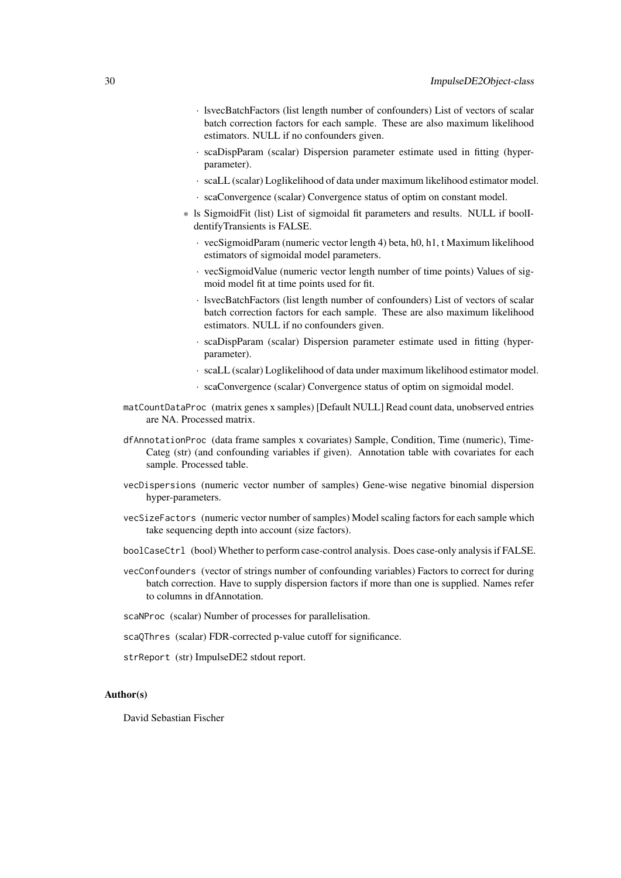- · lsvecBatchFactors (list length number of confounders) List of vectors of scalar batch correction factors for each sample. These are also maximum likelihood estimators. NULL if no confounders given.
- scaDispParam (scalar) Dispersion parameter estimate used in fitting (hyperparameter).
- · scaLL (scalar) Loglikelihood of data under maximum likelihood estimator model.
- · scaConvergence (scalar) Convergence status of optim on constant model.
- \* ls SigmoidFit (list) List of sigmoidal fit parameters and results. NULL if boolIdentifyTransients is FALSE.
	- · vecSigmoidParam (numeric vector length 4) beta, h0, h1, t Maximum likelihood estimators of sigmoidal model parameters.
	- · vecSigmoidValue (numeric vector length number of time points) Values of sigmoid model fit at time points used for fit.
	- · lsvecBatchFactors (list length number of confounders) List of vectors of scalar batch correction factors for each sample. These are also maximum likelihood estimators. NULL if no confounders given.
	- · scaDispParam (scalar) Dispersion parameter estimate used in fitting (hyperparameter).
	- · scaLL (scalar) Loglikelihood of data under maximum likelihood estimator model.
	- · scaConvergence (scalar) Convergence status of optim on sigmoidal model.
- matCountDataProc (matrix genes x samples) [Default NULL] Read count data, unobserved entries are NA. Processed matrix.
- dfAnnotationProc (data frame samples x covariates) Sample, Condition, Time (numeric), Time-Categ (str) (and confounding variables if given). Annotation table with covariates for each sample. Processed table.
- vecDispersions (numeric vector number of samples) Gene-wise negative binomial dispersion hyper-parameters.
- vecSizeFactors (numeric vector number of samples) Model scaling factors for each sample which take sequencing depth into account (size factors).
- boolCaseCtrl (bool) Whether to perform case-control analysis. Does case-only analysis if FALSE.
- vecConfounders (vector of strings number of confounding variables) Factors to correct for during batch correction. Have to supply dispersion factors if more than one is supplied. Names refer to columns in dfAnnotation.
- scaNProc (scalar) Number of processes for parallelisation.
- scaQThres (scalar) FDR-corrected p-value cutoff for significance.
- strReport (str) ImpulseDE2 stdout report.

### Author(s)

David Sebastian Fischer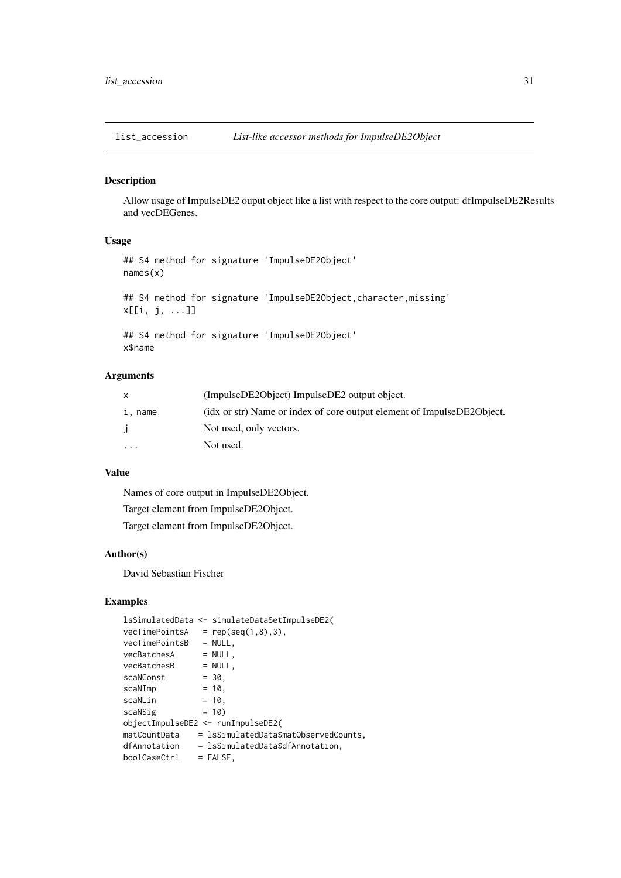<span id="page-30-0"></span>list\_accession *List-like accessor methods for ImpulseDE2Object*

### Description

Allow usage of ImpulseDE2 ouput object like a list with respect to the core output: dfImpulseDE2Results and vecDEGenes.

### Usage

```
## S4 method for signature 'ImpulseDE2Object'
names(x)
## S4 method for signature 'ImpulseDE2Object, character, missing'
x[[i, j, ...]]
## S4 method for signature 'ImpulseDE2Object'
x$name
```
### Arguments

| X        | (ImpulseDE2Object) ImpulseDE2 output object.                           |
|----------|------------------------------------------------------------------------|
| i, name  | (idx or str) Name or index of core output element of ImpulseDE2Object. |
| Ĵ        | Not used, only vectors.                                                |
| $\cdots$ | Not used.                                                              |

### Value

Names of core output in ImpulseDE2Object. Target element from ImpulseDE2Object. Target element from ImpulseDE2Object.

### Author(s)

David Sebastian Fischer

### Examples

|                | lsSimulatedData <- simulateDataSetImpulseDE2( |
|----------------|-----------------------------------------------|
| vecTimePointsA | $= rep(seq(1,8),3),$                          |
| vecTimePointsB | $= NULL,$                                     |
| vecBatchesA    | $= NULL,$                                     |
| vecBatchesB    | $= NULL,$                                     |
| scaNConst      | $= 30.$                                       |
| scaNImp        | $= 10.$                                       |
| scaNLin        | $= 10$ .                                      |
| scaNSig        | $= 10$                                        |
|                | objectImpulseDE2 <- runImpulseDE2(            |
| matCountData   | = lsSimulatedData\$matObservedCounts,         |
| dfAnnotation   | $=$ 1sSimulatedData\$dfAnnotation,            |
| boolCaseCtrl   | $=$ FALSE,                                    |
|                |                                               |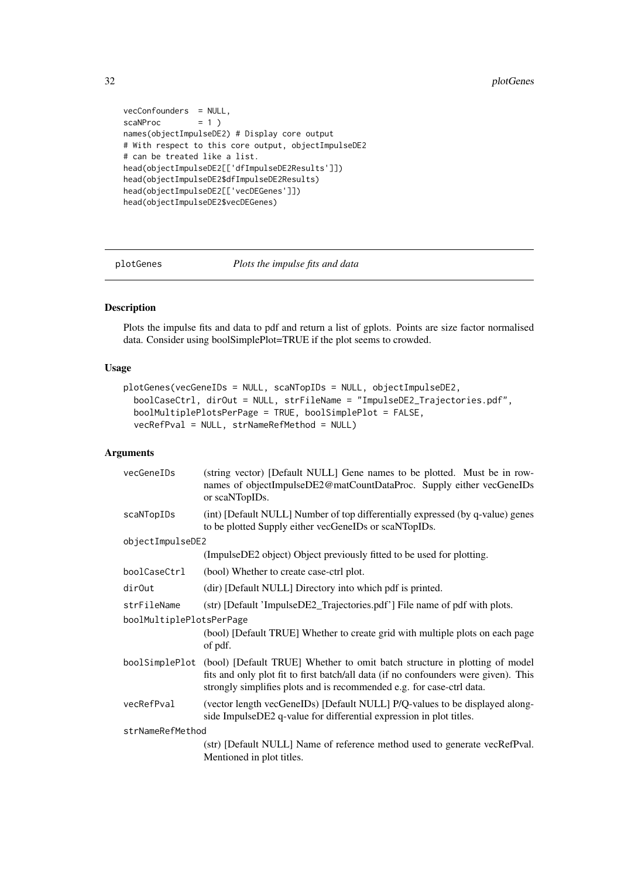```
vecConfounders = NULL,
scalarProc = 1)names(objectImpulseDE2) # Display core output
# With respect to this core output, objectImpulseDE2
# can be treated like a list.
head(objectImpulseDE2[['dfImpulseDE2Results']])
head(objectImpulseDE2$dfImpulseDE2Results)
head(objectImpulseDE2[['vecDEGenes']])
head(objectImpulseDE2$vecDEGenes)
```
<span id="page-31-1"></span>plotGenes *Plots the impulse fits and data*

### Description

Plots the impulse fits and data to pdf and return a list of gplots. Points are size factor normalised data. Consider using boolSimplePlot=TRUE if the plot seems to crowded.

#### Usage

```
plotGenes(vecGeneIDs = NULL, scaNTopIDs = NULL, objectImpulseDE2,
 boolCaseCtrl, dirOut = NULL, strFileName = "ImpulseDE2_Trajectories.pdf",
 boolMultiplePlotsPerPage = TRUE, boolSimplePlot = FALSE,
 vecRefPval = NULL, strNameRefMethod = NULL)
```
### Arguments

| (string vector) [Default NULL] Gene names to be plotted. Must be in row-<br>names of objectImpulseDE2@matCountDataProc. Supply either vecGeneIDs<br>or scaNTopIDs.                                                                                        |
|-----------------------------------------------------------------------------------------------------------------------------------------------------------------------------------------------------------------------------------------------------------|
| (int) [Default NULL] Number of top differentially expressed (by q-value) genes<br>to be plotted Supply either vecGeneIDs or scaNTopIDs.                                                                                                                   |
| objectImpulseDE2                                                                                                                                                                                                                                          |
| (ImpulseDE2 object) Object previously fitted to be used for plotting.                                                                                                                                                                                     |
| (bool) Whether to create case-ctrl plot.                                                                                                                                                                                                                  |
| (dir) [Default NULL] Directory into which pdf is printed.                                                                                                                                                                                                 |
| (str) [Default 'ImpulseDE2_Trajectories.pdf'] File name of pdf with plots.                                                                                                                                                                                |
| boolMultiplePlotsPerPage                                                                                                                                                                                                                                  |
| (bool) [Default TRUE] Whether to create grid with multiple plots on each page<br>of pdf.                                                                                                                                                                  |
| boolSimplePlot (bool) [Default TRUE] Whether to omit batch structure in plotting of model<br>fits and only plot fit to first batch/all data (if no confounders were given). This<br>strongly simplifies plots and is recommended e.g. for case-ctrl data. |
| (vector length vecGeneIDs) [Default NULL] P/Q-values to be displayed along-<br>side ImpulseDE2 q-value for differential expression in plot titles.                                                                                                        |
| strNameRefMethod                                                                                                                                                                                                                                          |
| (str) [Default NULL] Name of reference method used to generate vecRefPval.<br>Mentioned in plot titles.                                                                                                                                                   |
|                                                                                                                                                                                                                                                           |

<span id="page-31-0"></span>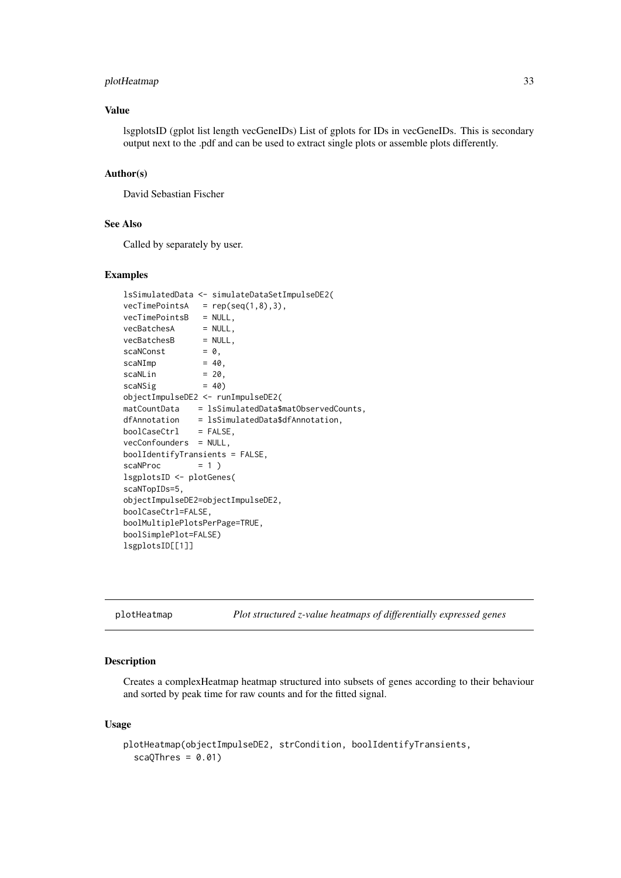#### <span id="page-32-0"></span>plotHeatmap 33

#### Value

lsgplotsID (gplot list length vecGeneIDs) List of gplots for IDs in vecGeneIDs. This is secondary output next to the .pdf and can be used to extract single plots or assemble plots differently.

### Author(s)

David Sebastian Fischer

### See Also

Called by separately by user.

#### Examples

```
lsSimulatedData <- simulateDataSetImpulseDE2(
vecTimePointsA = rep(seq(1,8),3),vecTimePointsB = NULL,
vecBatchesA = NULL,
vecBatchesB = NULL,
vecBatchesB = NUL<br>scaNConst = 0,<br>scaNImp = 40,
scaNImpscallin = 20,
scaNSig = 40objectImpulseDE2 <- runImpulseDE2(
matCountData = lsSimulatedData$matObservedCounts,
dfAnnotation = lsSimulatedData$dfAnnotation,
booleanCart1 = FALSE,vecConfounders = NULL,
boolIdentifyTransients = FALSE,
scalarProc = 1)lsgplotsID <- plotGenes(
scaNTopIDs=5,
objectImpulseDE2=objectImpulseDE2,
boolCaseCtrl=FALSE,
boolMultiplePlotsPerPage=TRUE,
boolSimplePlot=FALSE)
lsgplotsID[[1]]
```
<span id="page-32-1"></span>plotHeatmap *Plot structured z-value heatmaps of differentially expressed genes*

#### Description

Creates a complexHeatmap heatmap structured into subsets of genes according to their behaviour and sorted by peak time for raw counts and for the fitted signal.

### Usage

```
plotHeatmap(objectImpulseDE2, strCondition, boolIdentifyTransients,
  scaQThres = 0.01
```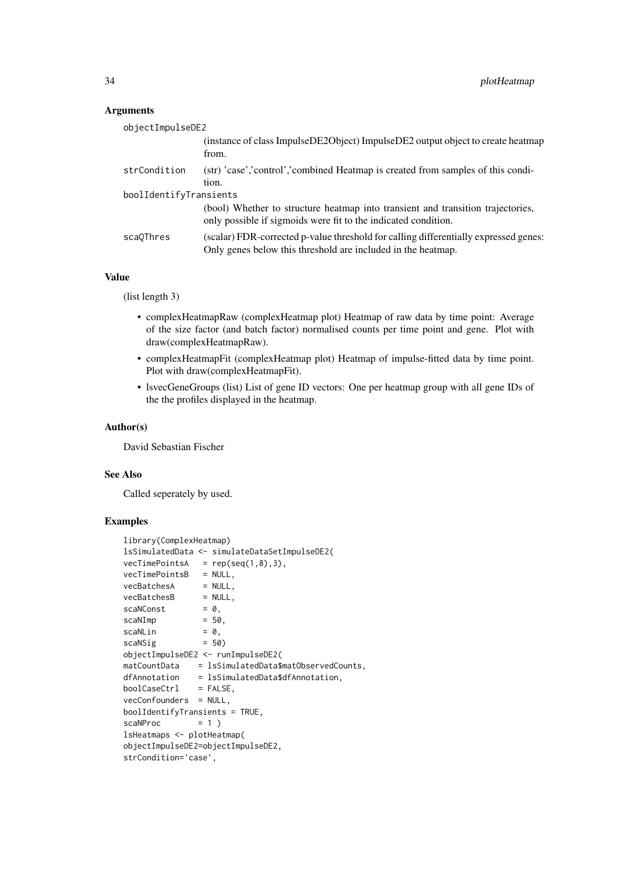### Arguments

| objectImpulseDE2       |                                                                                                                                                      |
|------------------------|------------------------------------------------------------------------------------------------------------------------------------------------------|
|                        | (instance of class ImpulseDE2Object) ImpulseDE2 output object to create heatmap<br>from.                                                             |
| strCondition           | (str) 'case','control','combined Heatmap is created from samples of this condi-<br>tion.                                                             |
| boolIdentifyTransients |                                                                                                                                                      |
|                        | (bool) Whether to structure heatmap into transient and transition trajectories,<br>only possible if sigmoids were fit to the indicated condition.    |
| sca0Thres              | (scalar) FDR-corrected p-value threshold for calling differentially expressed genes:<br>Only genes below this threshold are included in the heatmap. |

#### Value

(list length 3)

- complexHeatmapRaw (complexHeatmap plot) Heatmap of raw data by time point: Average of the size factor (and batch factor) normalised counts per time point and gene. Plot with draw(complexHeatmapRaw).
- complexHeatmapFit (complexHeatmap plot) Heatmap of impulse-fitted data by time point. Plot with draw(complexHeatmapFit).
- lsvecGeneGroups (list) List of gene ID vectors: One per heatmap group with all gene IDs of the the profiles displayed in the heatmap.

### Author(s)

David Sebastian Fischer

### See Also

Called seperately by used.

### Examples

```
library(ComplexHeatmap)
lsSimulatedData <- simulateDataSetImpulseDE2(
vecTimePointsA = rep(seq(1,8),3),vecTimePointsB = NULL,
vecBatchesA = NULL,
vecBatchesB = NULL,
scalConst = \emptyset,
scaNImp = 50,
scallin = 0,
scaNSig = 50objectImpulseDE2 <- runImpulseDE2(
matCountData = lsSimulatedData$matObservedCounts,
dfAnnotation = lsSimulatedData$dfAnnotation,
booleanCtrl = FALSE,
vecConfounders = NULL,
boolIdentifyTransients = TRUE,
scalarProc = 1)lsHeatmaps <- plotHeatmap(
objectImpulseDE2=objectImpulseDE2,
strCondition='case',
```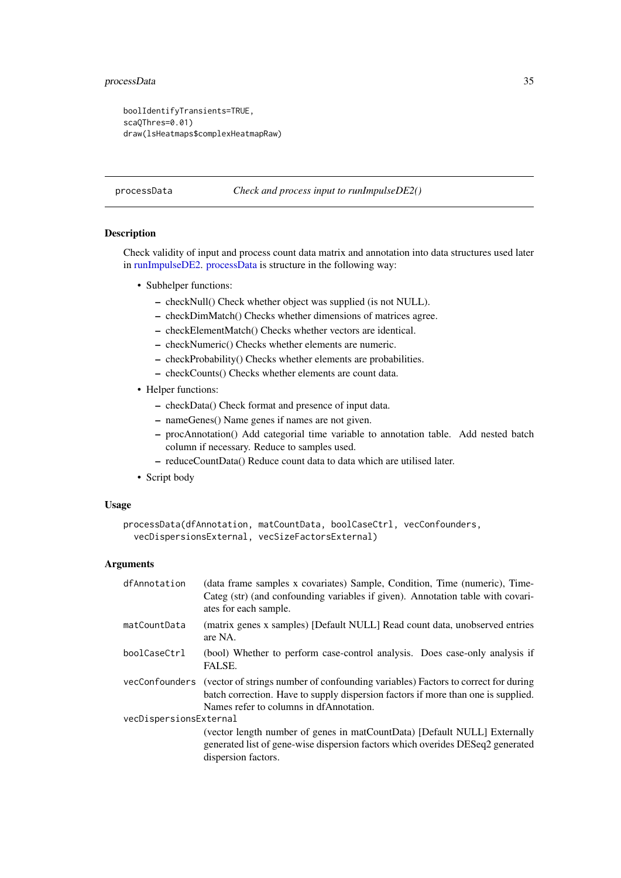#### <span id="page-34-0"></span>processData 35

```
boolIdentifyTransients=TRUE,
scaQThres=0.01)
draw(lsHeatmaps$complexHeatmapRaw)
```
### <span id="page-34-1"></span>processData *Check and process input to runImpulseDE2()*

#### Description

Check validity of input and process count data matrix and annotation into data structures used later in [runImpulseDE2.](#page-38-1) [processData](#page-34-1) is structure in the following way:

- Subhelper functions:
	- checkNull() Check whether object was supplied (is not NULL).
	- checkDimMatch() Checks whether dimensions of matrices agree.
	- checkElementMatch() Checks whether vectors are identical.
	- checkNumeric() Checks whether elements are numeric.
	- checkProbability() Checks whether elements are probabilities.
	- checkCounts() Checks whether elements are count data.
- Helper functions:
	- checkData() Check format and presence of input data.
	- nameGenes() Name genes if names are not given.
	- procAnnotation() Add categorial time variable to annotation table. Add nested batch column if necessary. Reduce to samples used.
	- reduceCountData() Reduce count data to data which are utilised later.
- Script body

#### Usage

```
processData(dfAnnotation, matCountData, boolCaseCtrl, vecConfounders,
  vecDispersionsExternal, vecSizeFactorsExternal)
```
### Arguments

| dfAnnotation           | (data frame samples x covariates) Sample, Condition, Time (numeric), Time-<br>Categ (str) (and confounding variables if given). Annotation table with covari-<br>ates for each sample.                                           |  |
|------------------------|----------------------------------------------------------------------------------------------------------------------------------------------------------------------------------------------------------------------------------|--|
| matCountData           | (matrix genes x samples) [Default NULL] Read count data, unobserved entries<br>are NA.                                                                                                                                           |  |
| boolCaseCtrl           | (bool) Whether to perform case-control analysis. Does case-only analysis if<br>FALSE.                                                                                                                                            |  |
|                        | vecConfounders (vector of strings number of confounding variables) Factors to correct for during<br>batch correction. Have to supply dispersion factors if more than one is supplied.<br>Names refer to columns in dfAnnotation. |  |
| vecDispersionsExternal |                                                                                                                                                                                                                                  |  |
|                        | (vector length number of genes in matCountData) [Default NULL] Externally<br>generated list of gene-wise dispersion factors which overides DESeq2 generated<br>dispersion factors.                                               |  |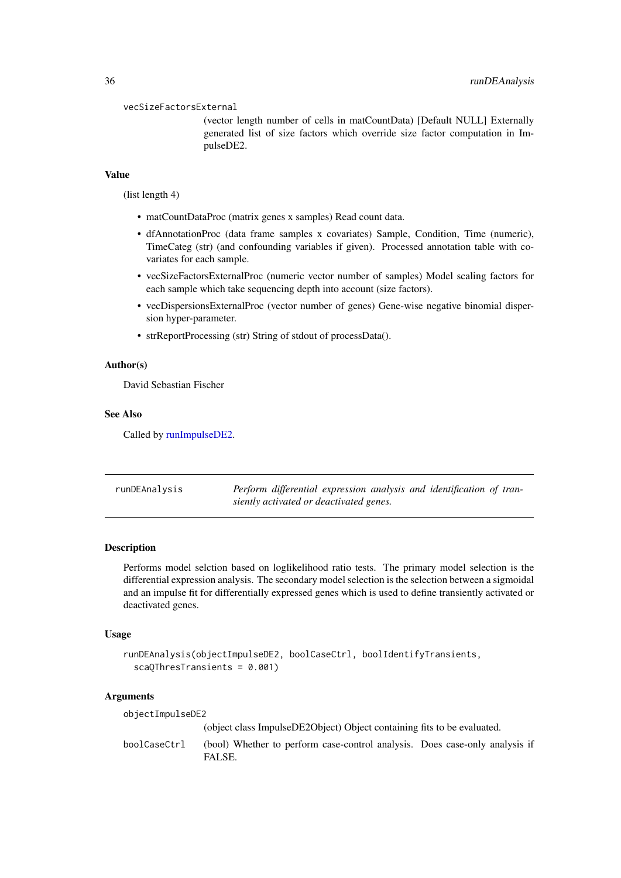#### <span id="page-35-0"></span>vecSizeFactorsExternal

(vector length number of cells in matCountData) [Default NULL] Externally generated list of size factors which override size factor computation in ImpulseDE2.

#### Value

(list length 4)

- matCountDataProc (matrix genes x samples) Read count data.
- dfAnnotationProc (data frame samples x covariates) Sample, Condition, Time (numeric), TimeCateg (str) (and confounding variables if given). Processed annotation table with covariates for each sample.
- vecSizeFactorsExternalProc (numeric vector number of samples) Model scaling factors for each sample which take sequencing depth into account (size factors).
- vecDispersionsExternalProc (vector number of genes) Gene-wise negative binomial dispersion hyper-parameter.
- strReportProcessing (str) String of stdout of processData().

#### Author(s)

David Sebastian Fischer

#### See Also

Called by [runImpulseDE2.](#page-38-1)

<span id="page-35-1"></span>

| runDEAnalysis | Perform differential expression analysis and identification of tran- |
|---------------|----------------------------------------------------------------------|
|               | siently activated or deactivated genes.                              |

#### Description

Performs model selction based on loglikelihood ratio tests. The primary model selection is the differential expression analysis. The secondary model selection is the selection between a sigmoidal and an impulse fit for differentially expressed genes which is used to define transiently activated or deactivated genes.

#### Usage

```
runDEAnalysis(objectImpulseDE2, boolCaseCtrl, boolIdentifyTransients,
  scaQThresTransients = 0.001)
```
#### Arguments

objectImpulseDE2

(object class ImpulseDE2Object) Object containing fits to be evaluated.

boolCaseCtrl (bool) Whether to perform case-control analysis. Does case-only analysis if FALSE.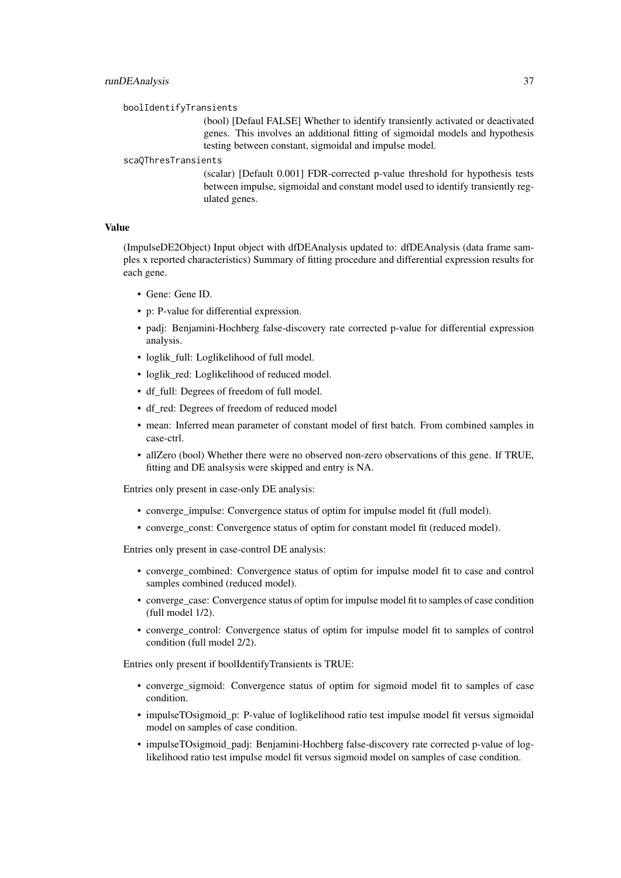#### boolIdentifyTransients

(bool) [Defaul FALSE] Whether to identify transiently activated or deactivated genes. This involves an additional fitting of sigmoidal models and hypothesis testing between constant, sigmoidal and impulse model.

#### scaQThresTransients

(scalar) [Default 0.001] FDR-corrected p-value threshold for hypothesis tests between impulse, sigmoidal and constant model used to identify transiently regulated genes.

#### Value

(ImpulseDE2Object) Input object with dfDEAnalysis updated to: dfDEAnalysis (data frame samples x reported characteristics) Summary of fitting procedure and differential expression results for each gene.

- Gene: Gene ID.
- p: P-value for differential expression.
- padj: Benjamini-Hochberg false-discovery rate corrected p-value for differential expression analysis.
- loglik\_full: Loglikelihood of full model.
- loglik red: Loglikelihood of reduced model.
- df\_full: Degrees of freedom of full model.
- df\_red: Degrees of freedom of reduced model
- mean: Inferred mean parameter of constant model of first batch. From combined samples in case-ctrl.
- allZero (bool) Whether there were no observed non-zero observations of this gene. If TRUE, fitting and DE analsysis were skipped and entry is NA.

Entries only present in case-only DE analysis:

- converge\_impulse: Convergence status of optim for impulse model fit (full model).
- converge const: Convergence status of optim for constant model fit (reduced model).

Entries only present in case-control DE analysis:

- converge\_combined: Convergence status of optim for impulse model fit to case and control samples combined (reduced model).
- converge case: Convergence status of optim for impulse model fit to samples of case condition (full model 1/2).
- converge\_control: Convergence status of optim for impulse model fit to samples of control condition (full model 2/2).

Entries only present if boolIdentifyTransients is TRUE:

- converge\_sigmoid: Convergence status of optim for sigmoid model fit to samples of case condition.
- impulseTOsigmoid\_p: P-value of loglikelihood ratio test impulse model fit versus sigmoidal model on samples of case condition.
- impulseTOsigmoid\_padj: Benjamini-Hochberg false-discovery rate corrected p-value of loglikelihood ratio test impulse model fit versus sigmoid model on samples of case condition.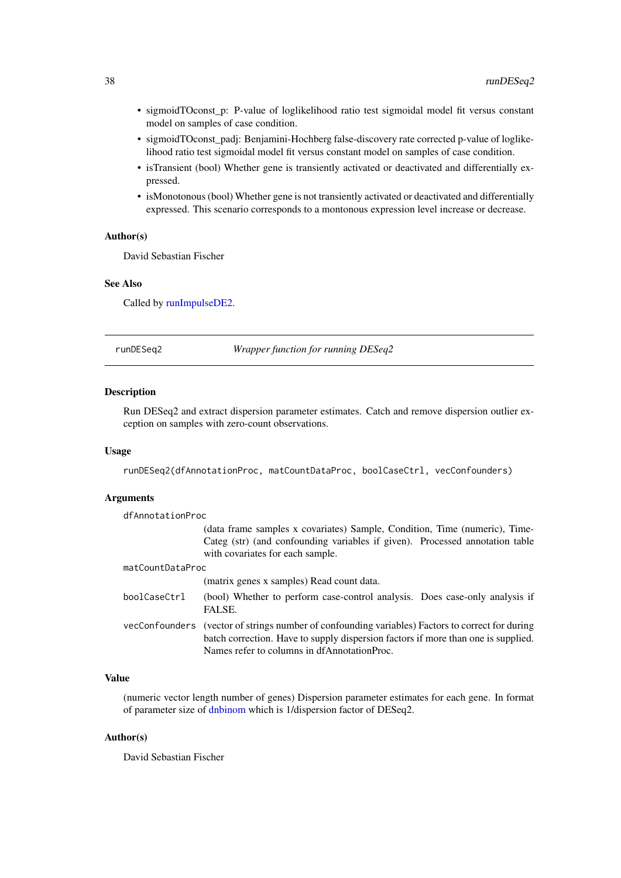- <span id="page-37-0"></span>• sigmoidTOconst p: P-value of loglikelihood ratio test sigmoidal model fit versus constant model on samples of case condition.
- sigmoidTOconst padj: Benjamini-Hochberg false-discovery rate corrected p-value of loglikelihood ratio test sigmoidal model fit versus constant model on samples of case condition.
- isTransient (bool) Whether gene is transiently activated or deactivated and differentially expressed.
- isMonotonous (bool) Whether gene is not transiently activated or deactivated and differentially expressed. This scenario corresponds to a montonous expression level increase or decrease.

#### Author(s)

David Sebastian Fischer

#### See Also

Called by [runImpulseDE2.](#page-38-1)

<span id="page-37-1"></span>runDESeq2 *Wrapper function for running DESeq2*

#### Description

Run DESeq2 and extract dispersion parameter estimates. Catch and remove dispersion outlier exception on samples with zero-count observations.

#### Usage

runDESeq2(dfAnnotationProc, matCountDataProc, boolCaseCtrl, vecConfounders)

### Arguments

dfAnnotationProc

(data frame samples x covariates) Sample, Condition, Time (numeric), Time-Categ (str) (and confounding variables if given). Processed annotation table with covariates for each sample. matCountDataProc (matrix genes x samples) Read count data.

| boolCaseCtrl | (bool) Whether to perform case-control analysis. Does case-only analysis if |  |  |
|--------------|-----------------------------------------------------------------------------|--|--|
|              | FALSE.                                                                      |  |  |

vecConfounders (vector of strings number of confounding variables) Factors to correct for during batch correction. Have to supply dispersion factors if more than one is supplied. Names refer to columns in dfAnnotationProc.

#### Value

(numeric vector length number of genes) Dispersion parameter estimates for each gene. In format of parameter size of [dnbinom](#page-0-0) which is 1/dispersion factor of DESeq2.

### Author(s)

David Sebastian Fischer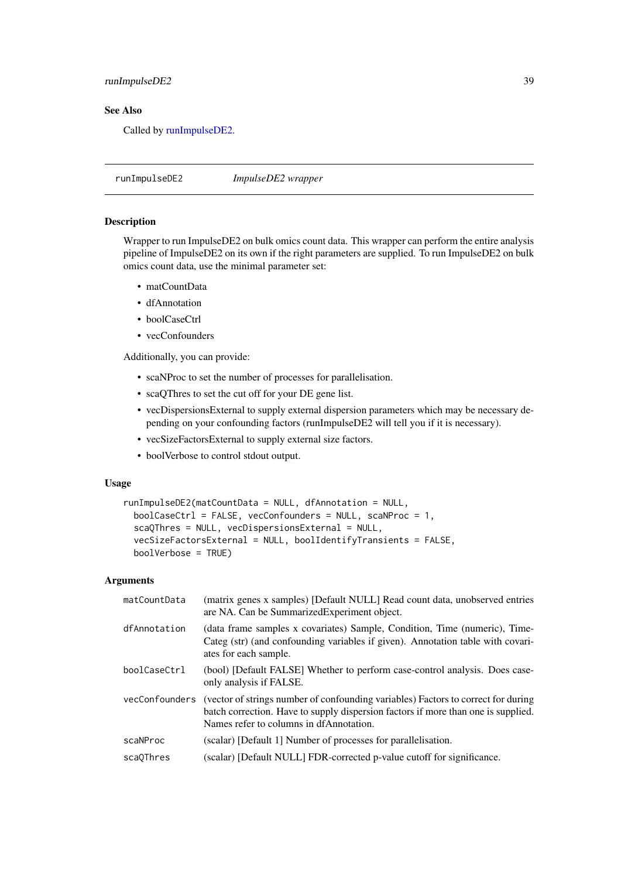#### <span id="page-38-0"></span>runImpulseDE2 39

#### See Also

Called by [runImpulseDE2.](#page-38-1)

<span id="page-38-1"></span>runImpulseDE2 *ImpulseDE2 wrapper*

#### Description

Wrapper to run ImpulseDE2 on bulk omics count data. This wrapper can perform the entire analysis pipeline of ImpulseDE2 on its own if the right parameters are supplied. To run ImpulseDE2 on bulk omics count data, use the minimal parameter set:

- matCountData
- dfAnnotation
- boolCaseCtrl
- vecConfounders

Additionally, you can provide:

- scaNProc to set the number of processes for parallelisation.
- scaQThres to set the cut off for your DE gene list.
- vecDispersionsExternal to supply external dispersion parameters which may be necessary depending on your confounding factors (runImpulseDE2 will tell you if it is necessary).
- vecSizeFactorsExternal to supply external size factors.
- boolVerbose to control stdout output.

### Usage

```
runImpulseDE2(matCountData = NULL, dfAnnotation = NULL,
 boolCaseCtrl = FALSE, vecConfounders = NULL, scaNProc = 1,
 scaQThres = NULL, vecDispersionsExternal = NULL,
 vecSizeFactorsExternal = NULL, boolIdentifyTransients = FALSE,
 boolVerbose = TRUE)
```
### Arguments

| (matrix genes x samples) [Default NULL] Read count data, unobserved entries<br>are NA. Can be Summarized Experiment object.                                                                                       |
|-------------------------------------------------------------------------------------------------------------------------------------------------------------------------------------------------------------------|
| (data frame samples x covariates) Sample, Condition, Time (numeric), Time-<br>Categ (str) (and confounding variables if given). Annotation table with covari-<br>ates for each sample.                            |
| (bool) [Default FALSE] Whether to perform case-control analysis. Does case-<br>only analysis if FALSE.                                                                                                            |
| (vector of strings number of confounding variables) Factors to correct for during<br>batch correction. Have to supply dispersion factors if more than one is supplied.<br>Names refer to columns in dfAnnotation. |
| (scalar) [Default 1] Number of processes for parallelisation.                                                                                                                                                     |
| (scalar) [Default NULL] FDR-corrected p-value cutoff for significance.                                                                                                                                            |
|                                                                                                                                                                                                                   |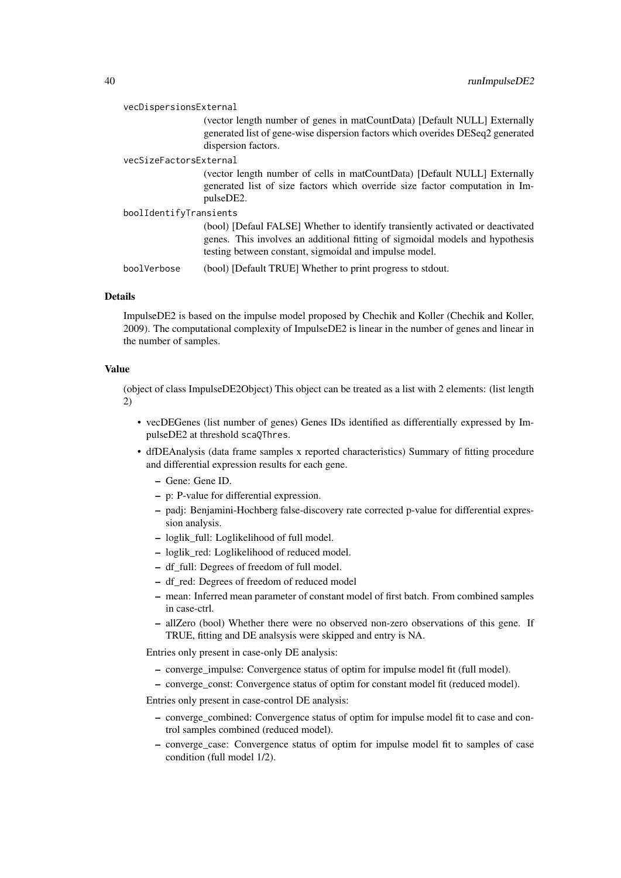#### vecDispersionsExternal

(vector length number of genes in matCountData) [Default NULL] Externally generated list of gene-wise dispersion factors which overides DESeq2 generated dispersion factors.

#### vecSizeFactorsExternal

(vector length number of cells in matCountData) [Default NULL] Externally generated list of size factors which override size factor computation in ImpulseDE2.

#### boolIdentifyTransients

(bool) [Defaul FALSE] Whether to identify transiently activated or deactivated genes. This involves an additional fitting of sigmoidal models and hypothesis testing between constant, sigmoidal and impulse model.

boolVerbose (bool) [Default TRUE] Whether to print progress to stdout.

#### **Details**

ImpulseDE2 is based on the impulse model proposed by Chechik and Koller (Chechik and Koller, 2009). The computational complexity of ImpulseDE2 is linear in the number of genes and linear in the number of samples.

### Value

(object of class ImpulseDE2Object) This object can be treated as a list with 2 elements: (list length 2)

- vecDEGenes (list number of genes) Genes IDs identified as differentially expressed by ImpulseDE2 at threshold scaQThres.
- dfDEAnalysis (data frame samples x reported characteristics) Summary of fitting procedure and differential expression results for each gene.
	- Gene: Gene ID.
	- p: P-value for differential expression.
	- padj: Benjamini-Hochberg false-discovery rate corrected p-value for differential expression analysis.
	- loglik\_full: Loglikelihood of full model.
	- loglik\_red: Loglikelihood of reduced model.
	- df\_full: Degrees of freedom of full model.
	- df\_red: Degrees of freedom of reduced model
	- mean: Inferred mean parameter of constant model of first batch. From combined samples in case-ctrl.
	- allZero (bool) Whether there were no observed non-zero observations of this gene. If TRUE, fitting and DE analsysis were skipped and entry is NA.

Entries only present in case-only DE analysis:

- converge impulse: Convergence status of optim for impulse model fit (full model).
- converge\_const: Convergence status of optim for constant model fit (reduced model).

Entries only present in case-control DE analysis:

- converge\_combined: Convergence status of optim for impulse model fit to case and control samples combined (reduced model).
- converge\_case: Convergence status of optim for impulse model fit to samples of case condition (full model 1/2).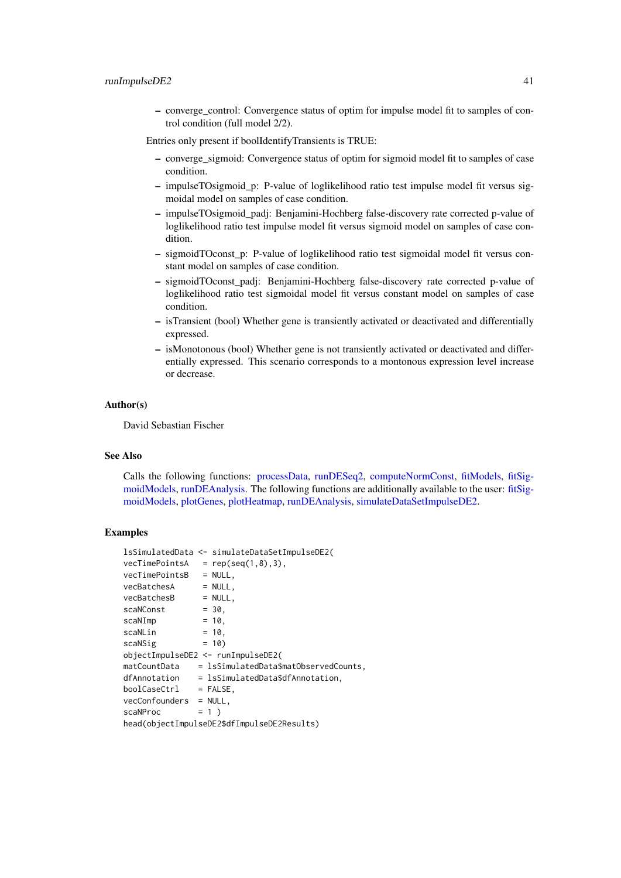<span id="page-40-0"></span>– converge\_control: Convergence status of optim for impulse model fit to samples of control condition (full model 2/2).

Entries only present if boolIdentifyTransients is TRUE:

- converge\_sigmoid: Convergence status of optim for sigmoid model fit to samples of case condition.
- impulseTOsigmoid\_p: P-value of loglikelihood ratio test impulse model fit versus sigmoidal model on samples of case condition.
- impulseTOsigmoid\_padj: Benjamini-Hochberg false-discovery rate corrected p-value of loglikelihood ratio test impulse model fit versus sigmoid model on samples of case condition.
- sigmoidTOconst\_p: P-value of loglikelihood ratio test sigmoidal model fit versus constant model on samples of case condition.
- sigmoidTOconst\_padj: Benjamini-Hochberg false-discovery rate corrected p-value of loglikelihood ratio test sigmoidal model fit versus constant model on samples of case condition.
- isTransient (bool) Whether gene is transiently activated or deactivated and differentially expressed.
- isMonotonous (bool) Whether gene is not transiently activated or deactivated and differentially expressed. This scenario corresponds to a montonous expression level increase or decrease.

### Author(s)

David Sebastian Fischer

#### See Also

Calls the following functions: [processData,](#page-34-1) [runDESeq2,](#page-37-1) [computeNormConst,](#page-2-1) [fitModels,](#page-19-1) [fitSig](#page-23-1)[moidModels,](#page-23-1) [runDEAnalysis.](#page-35-1) The following functions are additionally available to the user: [fitSig](#page-23-1)[moidModels,](#page-23-1) [plotGenes,](#page-31-1) [plotHeatmap,](#page-32-1) [runDEAnalysis,](#page-35-1) [simulateDataSetImpulseDE2.](#page-42-1)

#### Examples

```
lsSimulatedData <- simulateDataSetImpulseDE2(
vecTimePointsA = rep(seq(1,8),3),vecTimePointsB = NULL,
vecBatchesA = NULL,
vecBatchesB = NULL,
scalConst = 30,
scalImp = 10,
scallin = 10,
scaNSig = 10objectImpulseDE2 <- runImpulseDE2(
matCountData = lsSimulatedData$matObservedCounts,
dfAnnotation = lsSimulatedData$dfAnnotation,
booleanCtrl = FALSE,vecComfounders = NULL,<br>scaNProc = 1)scaNProc
head(objectImpulseDE2$dfImpulseDE2Results)
```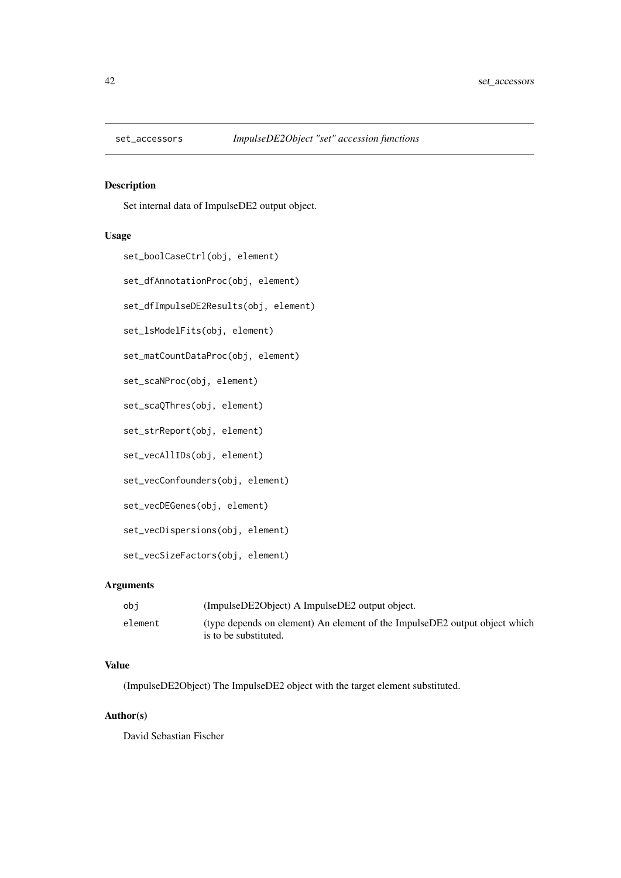<span id="page-41-0"></span>

### Description

Set internal data of ImpulseDE2 output object.

#### Usage

```
set_boolCaseCtrl(obj, element)
```
set\_dfAnnotationProc(obj, element)

set\_dfImpulseDE2Results(obj, element)

set\_lsModelFits(obj, element)

set\_matCountDataProc(obj, element)

set\_scaNProc(obj, element)

set\_scaQThres(obj, element)

set\_strReport(obj, element)

set\_vecAllIDs(obj, element)

set\_vecConfounders(obj, element)

set\_vecDEGenes(obj, element)

set\_vecDispersions(obj, element)

set\_vecSizeFactors(obj, element)

#### Arguments

| obi     | (ImpulseDE2Object) A ImpulseDE2 output object.                                                      |
|---------|-----------------------------------------------------------------------------------------------------|
| element | (type depends on element) An element of the ImpulseDE2 output object which<br>is to be substituted. |

### Value

(ImpulseDE2Object) The ImpulseDE2 object with the target element substituted.

### Author(s)

David Sebastian Fischer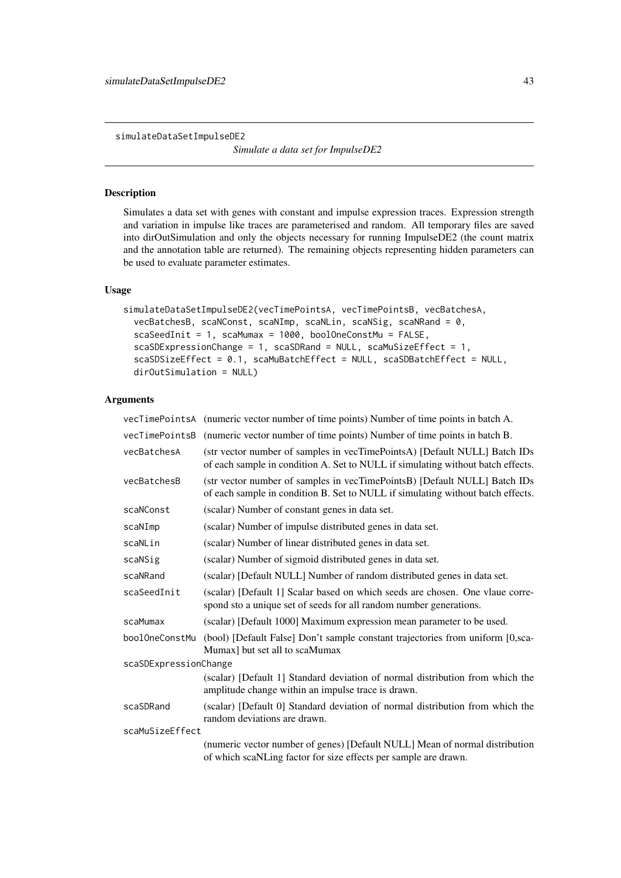<span id="page-42-1"></span><span id="page-42-0"></span>simulateDataSetImpulseDE2

*Simulate a data set for ImpulseDE2*

### Description

Simulates a data set with genes with constant and impulse expression traces. Expression strength and variation in impulse like traces are parameterised and random. All temporary files are saved into dirOutSimulation and only the objects necessary for running ImpulseDE2 (the count matrix and the annotation table are returned). The remaining objects representing hidden parameters can be used to evaluate parameter estimates.

### Usage

```
simulateDataSetImpulseDE2(vecTimePointsA, vecTimePointsB, vecBatchesA,
 vecBatchesB, scaNConst, scaNImp, scaNLin, scaNSig, scaNRand = 0,
 scaSeedInit = 1, scaMumax = 1000, boolOneConstMu = FALSE,
 scaSDExpressionChange = 1, scaSDRand = NULL, scaMuSizeEffect = 1,
 scaSDSizeEffect = 0.1, scaMuBatchEffect = NULL, scaSDBatchEffect = NULL,
 dirOutSimulation = NULL)
```
### Arguments

|                       | vecTimePointsA (numeric vector number of time points) Number of time points in batch A.                                                                      |  |
|-----------------------|--------------------------------------------------------------------------------------------------------------------------------------------------------------|--|
| vecTimePointsB        | (numeric vector number of time points) Number of time points in batch B.                                                                                     |  |
| vecBatchesA           | (str vector number of samples in vecTimePointsA) [Default NULL] Batch IDs<br>of each sample in condition A. Set to NULL if simulating without batch effects. |  |
| vecBatchesB           | (str vector number of samples in vecTimePointsB) [Default NULL] Batch IDs<br>of each sample in condition B. Set to NULL if simulating without batch effects. |  |
| scaNConst             | (scalar) Number of constant genes in data set.                                                                                                               |  |
| scaNImp               | (scalar) Number of impulse distributed genes in data set.                                                                                                    |  |
| scaNLin               | (scalar) Number of linear distributed genes in data set.                                                                                                     |  |
| scaNSig               | (scalar) Number of sigmoid distributed genes in data set.                                                                                                    |  |
| scaNRand              | (scalar) [Default NULL] Number of random distributed genes in data set.                                                                                      |  |
| scaSeedInit           | (scalar) [Default 1] Scalar based on which seeds are chosen. One vlaue corre-<br>spond sto a unique set of seeds for all random number generations.          |  |
| scaMumax              | (scalar) [Default 1000] Maximum expression mean parameter to be used.                                                                                        |  |
|                       | boolOneConstMu (bool) [Default False] Don't sample constant trajectories from uniform [0,sca-<br>Mumax] but set all to scaMumax                              |  |
| scaSDExpressionChange |                                                                                                                                                              |  |
|                       | (scalar) [Default 1] Standard deviation of normal distribution from which the<br>amplitude change within an impulse trace is drawn.                          |  |
| scaSDRand             | (scalar) [Default 0] Standard deviation of normal distribution from which the<br>random deviations are drawn.                                                |  |
| scaMuSizeEffect       |                                                                                                                                                              |  |
|                       | (numeric vector number of genes) [Default NULL] Mean of normal distribution<br>of which scaNLing factor for size effects per sample are drawn.               |  |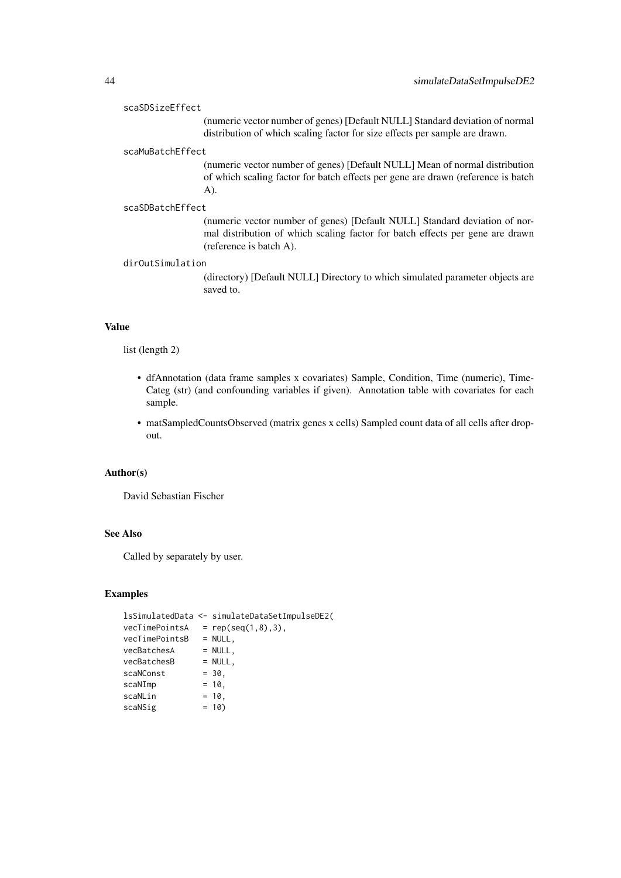#### scaSDSizeEffect

(numeric vector number of genes) [Default NULL] Standard deviation of normal distribution of which scaling factor for size effects per sample are drawn.

#### scaMuBatchEffect

(numeric vector number of genes) [Default NULL] Mean of normal distribution of which scaling factor for batch effects per gene are drawn (reference is batch A).

#### scaSDBatchEffect

(numeric vector number of genes) [Default NULL] Standard deviation of normal distribution of which scaling factor for batch effects per gene are drawn (reference is batch A).

#### dirOutSimulation

(directory) [Default NULL] Directory to which simulated parameter objects are saved to.

### Value

list (length 2)

- dfAnnotation (data frame samples x covariates) Sample, Condition, Time (numeric), Time-Categ (str) (and confounding variables if given). Annotation table with covariates for each sample.
- matSampledCountsObserved (matrix genes x cells) Sampled count data of all cells after dropout.

#### Author(s)

David Sebastian Fischer

### See Also

Called by separately by user.

#### Examples

```
lsSimulatedData <- simulateDataSetImpulseDE2(
vecTimePointsA = rep(seq(1,8),3),vecTimePointsB = NULL,
vecBatchesA = NULL,
vecBatchesB = NULL,
scalConst = 30,
scaNImp = 10,
scallin = 10,
scaNSig = 10)
```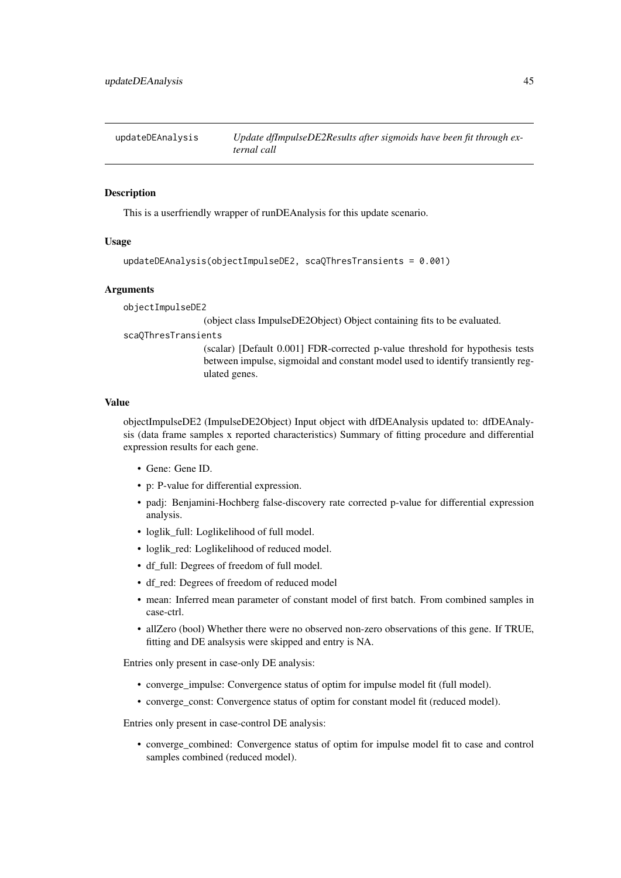<span id="page-44-0"></span>

| updateDEAnalysis | Update dfImpulseDE2Results after sigmoids have been fit through ex- |
|------------------|---------------------------------------------------------------------|
|                  | ternal call                                                         |

#### Description

This is a userfriendly wrapper of runDEAnalysis for this update scenario.

### Usage

```
updateDEAnalysis(objectImpulseDE2, scaQThresTransients = 0.001)
```
### Arguments

objectImpulseDE2

(object class ImpulseDE2Object) Object containing fits to be evaluated.

scaQThresTransients

(scalar) [Default 0.001] FDR-corrected p-value threshold for hypothesis tests between impulse, sigmoidal and constant model used to identify transiently regulated genes.

#### Value

objectImpulseDE2 (ImpulseDE2Object) Input object with dfDEAnalysis updated to: dfDEAnalysis (data frame samples x reported characteristics) Summary of fitting procedure and differential expression results for each gene.

- Gene: Gene ID.
- p: P-value for differential expression.
- padj: Benjamini-Hochberg false-discovery rate corrected p-value for differential expression analysis.
- loglik full: Loglikelihood of full model.
- loglik red: Loglikelihood of reduced model.
- df\_full: Degrees of freedom of full model.
- df\_red: Degrees of freedom of reduced model
- mean: Inferred mean parameter of constant model of first batch. From combined samples in case-ctrl.
- allZero (bool) Whether there were no observed non-zero observations of this gene. If TRUE, fitting and DE analsysis were skipped and entry is NA.

Entries only present in case-only DE analysis:

- converge\_impulse: Convergence status of optim for impulse model fit (full model).
- converge\_const: Convergence status of optim for constant model fit (reduced model).

Entries only present in case-control DE analysis:

• converge\_combined: Convergence status of optim for impulse model fit to case and control samples combined (reduced model).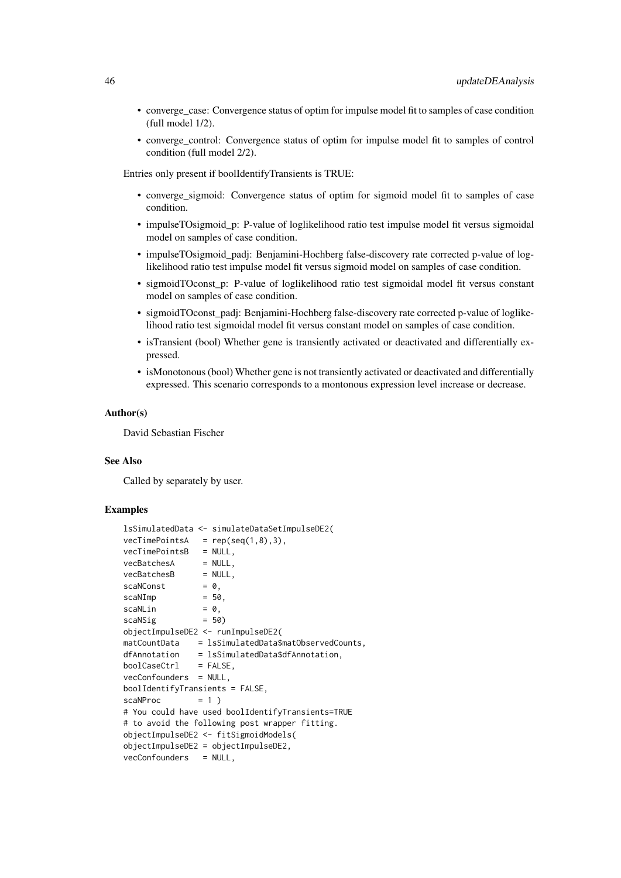- converge case: Convergence status of optim for impulse model fit to samples of case condition (full model 1/2).
- converge control: Convergence status of optim for impulse model fit to samples of control condition (full model 2/2).

Entries only present if boolIdentifyTransients is TRUE:

- converge\_sigmoid: Convergence status of optim for sigmoid model fit to samples of case condition.
- impulseTOsigmoid p: P-value of loglikelihood ratio test impulse model fit versus sigmoidal model on samples of case condition.
- impulseTOsigmoid padj: Benjamini-Hochberg false-discovery rate corrected p-value of loglikelihood ratio test impulse model fit versus sigmoid model on samples of case condition.
- sigmoidTOconst\_p: P-value of loglikelihood ratio test sigmoidal model fit versus constant model on samples of case condition.
- sigmoidTOconst\_padj: Benjamini-Hochberg false-discovery rate corrected p-value of loglikelihood ratio test sigmoidal model fit versus constant model on samples of case condition.
- isTransient (bool) Whether gene is transiently activated or deactivated and differentially expressed.
- isMonotonous (bool) Whether gene is not transiently activated or deactivated and differentially expressed. This scenario corresponds to a montonous expression level increase or decrease.

#### Author(s)

David Sebastian Fischer

### See Also

Called by separately by user.

#### Examples

```
lsSimulatedData <- simulateDataSetImpulseDE2(
vecTimePointsA = rep(seq(1,8),3),vecTimePointsB = NULL,
vecBatchesA = NULL,
vecBatchesB = NULL,
scalConst = 0,scaNImp = 50,
scallin = 0,
scaNSig = 50objectImpulseDE2 <- runImpulseDE2(
matCountData = lsSimulatedData$matObservedCounts,
dfAnnotation = lsSimulatedData$dfAnnotation,
boolCaseCtrl = FALSE,
vecConfounders = NULL,
boolIdentifyTransients = FALSE,
scalarProc = 1)# You could have used boolIdentifyTransients=TRUE
# to avoid the following post wrapper fitting.
objectImpulseDE2 <- fitSigmoidModels(
objectImpulseDE2 = objectImpulseDE2,
vecConfounders = NULL,
```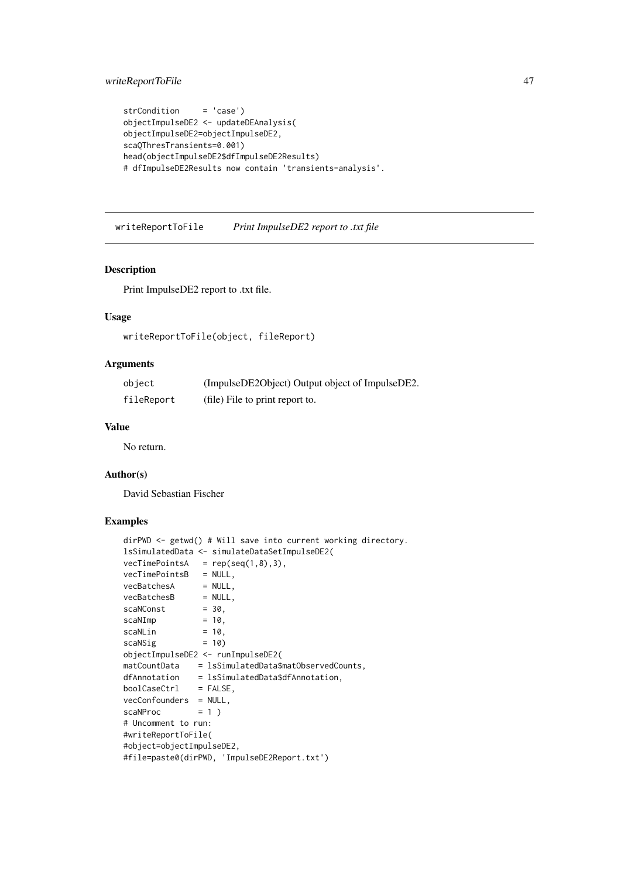#### <span id="page-46-0"></span>writeReportToFile 47

```
strCondition = 'case')
objectImpulseDE2 <- updateDEAnalysis(
objectImpulseDE2=objectImpulseDE2,
scaQThresTransients=0.001)
head(objectImpulseDE2$dfImpulseDE2Results)
# dfImpulseDE2Results now contain 'transients-analysis'.
```
writeReportToFile *Print ImpulseDE2 report to .txt file*

### Description

Print ImpulseDE2 report to .txt file.

### Usage

writeReportToFile(object, fileReport)

### Arguments

| object     | (ImpulseDE2Object) Output object of ImpulseDE2. |
|------------|-------------------------------------------------|
| fileReport | (file) File to print report to.                 |

### Value

No return.

### Author(s)

David Sebastian Fischer

### Examples

```
dirPWD <- getwd() # Will save into current working directory.
lsSimulatedData <- simulateDataSetImpulseDE2(
vecTimePointsA = rep(seq(1,8),3),vecTimePointsB = NULL,
vecBatchesA = NULL,
vecBatchesB = NULL,
vecBatchesB = NUL<br>scaNConst = 30,<br>scaNImp = 10,
scaNImpscallin = 10,
scaNSig = 10objectImpulseDE2 <- runImpulseDE2(
matCountData = lsSimulatedData$matObservedCounts,
dfAnnotation = lsSimulatedData$dfAnnotation,
booleanCtrl = FALSE,
vecConfounders = NULL,<br>scaNProc = 1)scaNProc
# Uncomment to run:
#writeReportToFile(
#object=objectImpulseDE2,
#file=paste0(dirPWD, 'ImpulseDE2Report.txt')
```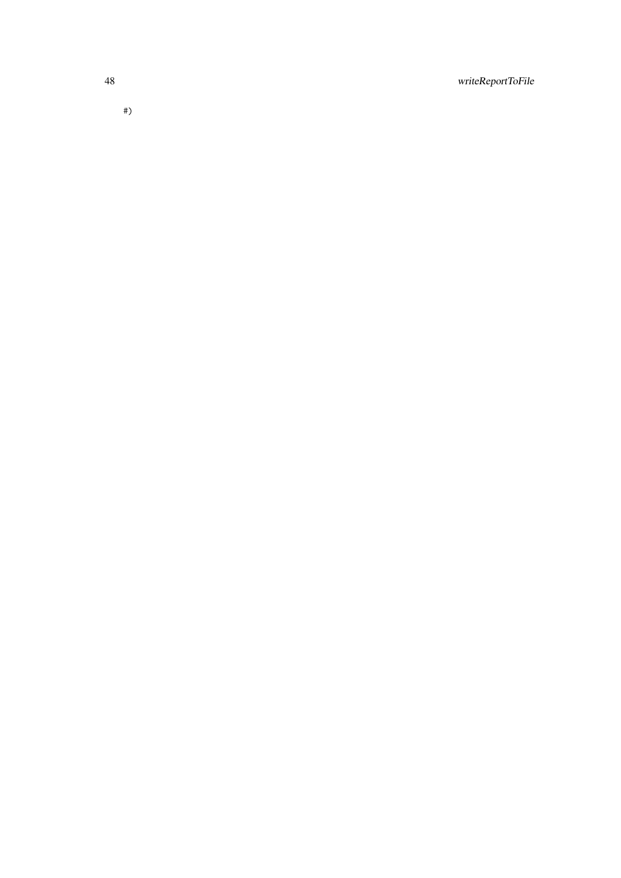48 writeReportToFile

#)